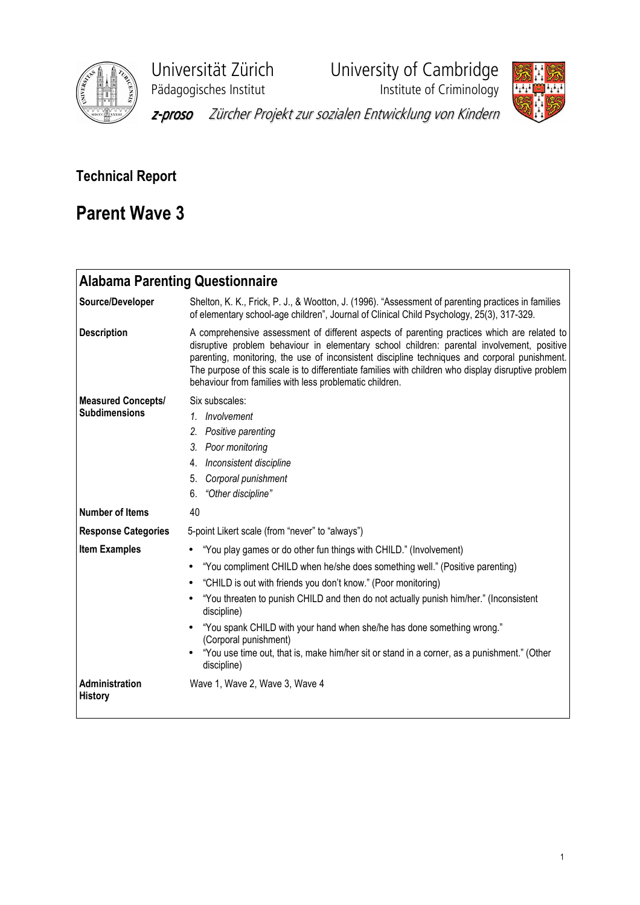

Universität Zürich<br>
Pädagogisches Institut Muslimatic University of Cambridge<br>
Institute of Criminology Pädagogisches Institut



z-proso Zürcher Projekt zur sozialen Entwicklung von Kindern

# Technical Report

# Parent Wave 3

| <b>Alabama Parenting Questionnaire</b>            |                                                                                                                                                                                                                                                                                                                                                                                                                                                                                                                                                          |
|---------------------------------------------------|----------------------------------------------------------------------------------------------------------------------------------------------------------------------------------------------------------------------------------------------------------------------------------------------------------------------------------------------------------------------------------------------------------------------------------------------------------------------------------------------------------------------------------------------------------|
| Source/Developer                                  | Shelton, K. K., Frick, P. J., & Wootton, J. (1996). "Assessment of parenting practices in families<br>of elementary school-age children", Journal of Clinical Child Psychology, 25(3), 317-329.                                                                                                                                                                                                                                                                                                                                                          |
| <b>Description</b>                                | A comprehensive assessment of different aspects of parenting practices which are related to<br>disruptive problem behaviour in elementary school children: parental involvement, positive<br>parenting, monitoring, the use of inconsistent discipline techniques and corporal punishment.<br>The purpose of this scale is to differentiate families with children who display disruptive problem<br>behaviour from families with less problematic children.                                                                                             |
| <b>Measured Concepts/</b><br><b>Subdimensions</b> | Six subscales:<br>1. Involvement<br>2. Positive parenting<br>3. Poor monitoring<br>Inconsistent discipline<br>4.<br>Corporal punishment<br>5.<br>"Other discipline"<br>6.                                                                                                                                                                                                                                                                                                                                                                                |
| <b>Number of Items</b>                            | 40                                                                                                                                                                                                                                                                                                                                                                                                                                                                                                                                                       |
| <b>Response Categories</b>                        | 5-point Likert scale (from "never" to "always")                                                                                                                                                                                                                                                                                                                                                                                                                                                                                                          |
| <b>Item Examples</b>                              | "You play games or do other fun things with CHILD." (Involvement)<br>$\bullet$<br>"You compliment CHILD when he/she does something well." (Positive parenting)<br>"CHILD is out with friends you don't know." (Poor monitoring)<br>"You threaten to punish CHILD and then do not actually punish him/her." (Inconsistent<br>discipline)<br>"You spank CHILD with your hand when she/he has done something wrong."<br>(Corporal punishment)<br>"You use time out, that is, make him/her sit or stand in a corner, as a punishment." (Other<br>discipline) |
| <b>Administration</b><br><b>History</b>           | Wave 1, Wave 2, Wave 3, Wave 4                                                                                                                                                                                                                                                                                                                                                                                                                                                                                                                           |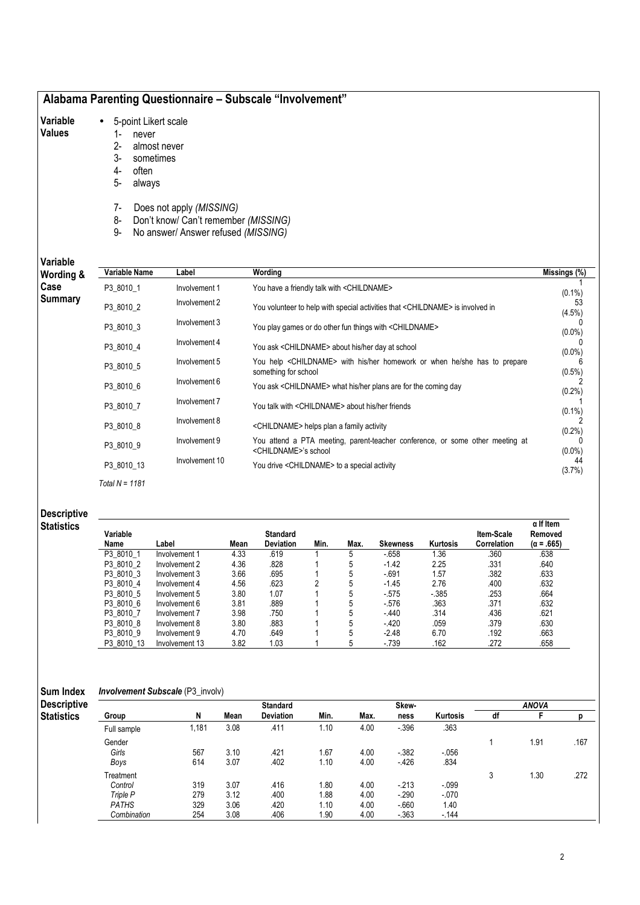# Alabama Parenting Questionnaire – Subscale "Involvement"

#### Variable • 5-point Likert scale

### Values

- 1- never 2- almost never
	- 3- sometimes
	- 4- often
	- 5- always
	-
	- 7- Does not apply (MISSING)
	- 8- Don't know/ Can't remember (MISSING)
	- 9- No answer/ Answer refused (MISSING)

# Variable

| Variable<br>Wording & | Variable Name | Label          | Wording                                                                                                           | Missings (%)        |
|-----------------------|---------------|----------------|-------------------------------------------------------------------------------------------------------------------|---------------------|
| Case                  | P3 8010 1     | Involvement 1  | You have a friendly talk with <childname></childname>                                                             | $(0.1\%)$           |
| Summary               | P3 8010 2     | Involvement 2  | You volunteer to help with special activities that <childname> is involved in</childname>                         | 53                  |
|                       | P3 8010 3     | Involvement 3  | You play games or do other fun things with <childname></childname>                                                | (4.5%)<br>$(0.0\%)$ |
|                       | P3 8010 4     | Involvement 4  | You ask <childname> about his/her day at school</childname>                                                       | $(0.0\%)$           |
|                       | P3 8010 5     | Involvement 5  | You help <childname> with his/her homework or when he/she has to prepare<br/>something for school</childname>     | $(0.5\%)$           |
|                       | P3 8010 6     | Involvement 6  | You ask <childname> what his/her plans are for the coming day</childname>                                         | $(0.2\%)$           |
|                       | P3 8010 7     | Involvement 7  | You talk with <childname> about his/her friends</childname>                                                       | $(0.1\%)$           |
|                       | P3 8010 8     | Involvement 8  | <childname> helps plan a family activity</childname>                                                              | $(0.2\%)$           |
|                       | P3 8010 9     | Involvement 9  | You attend a PTA meeting, parent-teacher conference, or some other meeting at<br><childname>'s school</childname> | $(0.0\%)$           |
|                       | P3 8010 13    | Involvement 10 | You drive < CHILDNAME > to a special activity                                                                     | 44<br>$(3.7\%)$     |

### Descriptive

### **Statistics**

| Variable   | Label          |      | <b>Standard</b><br><b>Deviation</b> | Min. | Max. |                 |          | Item-Scale<br><b>Correlation</b> | $\alpha$ If Item<br>Removed |
|------------|----------------|------|-------------------------------------|------|------|-----------------|----------|----------------------------------|-----------------------------|
| Name       |                | Mean |                                     |      |      | <b>Skewness</b> | Kurtosis |                                  | $(\alpha = .665)$           |
| P3 8010 1  | Involvement 1  | 4.33 | .619                                |      | 5    | $-658$          | 1.36     | .360                             | .638                        |
| P3 8010 2  | Involvement 2  | 4.36 | .828                                |      | 5    | $-1.42$         | 2.25     | .331                             | .640                        |
| P3 8010 3  | Involvement 3  | 3.66 | .695                                |      | 5    | $-691$          | 1.57     | .382                             | .633                        |
| P3 8010 4  | Involvement 4  | 4.56 | .623                                | 2    | 5    | $-1.45$         | 2.76     | .400                             | .632                        |
| P3 8010 5  | Involvement 5  | 3.80 | 1.07                                |      | 5    | $-575$          | $-0.385$ | .253                             | .664                        |
| P3 8010 6  | Involvement 6  | 3.81 | .889                                |      | 5    | $-576$          | .363     | .371                             | .632                        |
| P3 8010 7  | Involvement 7  | 3.98 | .750                                |      | 5    | $-.440$         | .314     | .436                             | .621                        |
| P3 8010 8  | Involvement 8  | 3.80 | .883                                |      | 5    | $-420$          | .059     | .379                             | .630                        |
| P3 8010 9  | Involvement 9  | 4.70 | .649                                |      | 5    | $-2.48$         | 6.70     | .192                             | .663                        |
| P3 8010 13 | Involvement 13 | 3.82 | 1.03                                |      | 5    | $-739$          | .162     | .272                             | .658                        |

#### Sum Index Involvement Subscale (P3\_involv)

Total  $N = 1181$ 

| <b>Descriptive</b> |              |       |      | <b>Standard</b>  |      |      | Skew-  |                 |    | <b>ANOVA</b> |      |
|--------------------|--------------|-------|------|------------------|------|------|--------|-----------------|----|--------------|------|
| <b>Statistics</b>  | Group        | N     | Mean | <b>Deviation</b> | Min. | Max. | ness   | <b>Kurtosis</b> | df |              |      |
|                    | Full sample  | 1,181 | 3.08 | .411             | 1.10 | 4.00 | $-396$ | .363            |    |              |      |
|                    | Gender       |       |      |                  |      |      |        |                 |    | 1.91         | .167 |
|                    | Girls        | 567   | 3.10 | .421             | 1.67 | 4.00 | $-382$ | $-0.056$        |    |              |      |
|                    | Boys         | 614   | 3.07 | .402             | 1.10 | 4.00 | $-426$ | .834            |    |              |      |
|                    | Treatment    |       |      |                  |      |      |        |                 | 3  | 1.30         | .272 |
|                    | Control      | 319   | 3.07 | .416             | 1.80 | 4.00 | $-213$ | $-0.99$         |    |              |      |
|                    | Triple P     | 279   | 3.12 | .400             | 1.88 | 4.00 | $-290$ | $-.070$         |    |              |      |
|                    | <b>PATHS</b> | 329   | 3.06 | .420             | 1.10 | 4.00 | $-660$ | 1.40            |    |              |      |
|                    | Combination  | 254   | 3.08 | .406             | 1.90 | 4.00 | $-363$ | $-144$          |    |              |      |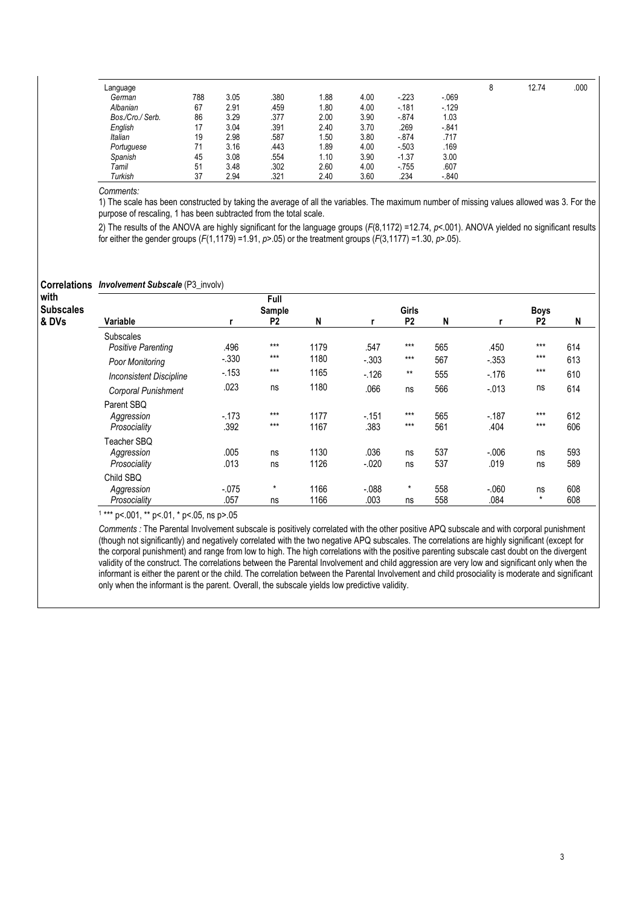| Language         |     |      |      |      |      |          |         | 8 | 12.74 | .000 |
|------------------|-----|------|------|------|------|----------|---------|---|-------|------|
| German           | 788 | 3.05 | .380 | 1.88 | 4.00 | $-223$   | $-069$  |   |       |      |
| Albanian         | 67  | 2.91 | .459 | 1.80 | 4.00 | $-181$   | $-129$  |   |       |      |
| Bos./Cro./ Serb. | 86  | 3.29 | .377 | 2.00 | 3.90 | $-0.874$ | 1.03    |   |       |      |
| English          | 17  | 3.04 | .391 | 2.40 | 3.70 | .269     | $-.841$ |   |       |      |
| Italian          | 19  | 2.98 | .587 | 1.50 | 3.80 | $-874$   | .717    |   |       |      |
| Portuguese       | 71  | 3.16 | .443 | 1.89 | 4.00 | $-503$   | .169    |   |       |      |
| Spanish          | 45  | 3.08 | .554 | 1.10 | 3.90 | $-1.37$  | 3.00    |   |       |      |
| Tamil            | 51  | 3.48 | .302 | 2.60 | 4.00 | $-755$   | .607    |   |       |      |
| Turkish          | 37  | 2.94 | .321 | 2.40 | 3.60 | .234     | $-.840$ |   |       |      |

1) The scale has been constructed by taking the average of all the variables. The maximum number of missing values allowed was 3. For the purpose of rescaling, 1 has been subtracted from the total scale.

2) The results of the ANOVA are highly significant for the language groups (F(8,1172) =12.74, p<.001). ANOVA yielded no significant results for either the gender groups  $(F(1,1179) = 1.91, p > .05)$  or the treatment groups  $(F(3,1177) = 1.30, p > .05)$ .

### Correlations Involvement Subscale (P3\_involv)

| with<br>Subscales |                                |         | Full<br>Sample |      |         | Girls          |     |          | <b>Boys</b>    |     |
|-------------------|--------------------------------|---------|----------------|------|---------|----------------|-----|----------|----------------|-----|
| & DVs             | Variable                       |         | P <sub>2</sub> | N    |         | P <sub>2</sub> | N   |          | P <sub>2</sub> | N   |
|                   | Subscales                      |         |                |      |         |                |     |          |                |     |
|                   | Positive Parenting             | .496    | $***$          | 1179 | .547    | $***$          | 565 | .450     | $***$          | 614 |
|                   | Poor Monitoring                | $-.330$ | $***$          | 1180 | $-.303$ | $***$          | 567 | $-.353$  | $***$          | 613 |
|                   | <b>Inconsistent Discipline</b> | $-153$  | $***$          | 1165 | $-126$  | $***$          | 555 | $-176$   | $***$          | 610 |
|                   | Corporal Punishment            | .023    | ns             | 1180 | .066    | ns             | 566 | $-0.013$ | ns             | 614 |
|                   | Parent SBQ                     |         |                |      |         |                |     |          |                |     |
|                   | Aggression                     | $-173$  | $***$          | 1177 | $-.151$ | $***$          | 565 | $-187$   | $***$          | 612 |
|                   | Prosociality                   | .392    | $***$          | 1167 | .383    | $***$          | 561 | .404     | $***$          | 606 |
|                   | Teacher SBQ                    |         |                |      |         |                |     |          |                |     |
|                   | Aggression                     | .005    | ns             | 1130 | .036    | ns             | 537 | $-0.006$ | ns             | 593 |
|                   | Prosociality                   | .013    | ns             | 1126 | $-.020$ | ns             | 537 | .019     | ns             | 589 |
|                   | Child SBQ                      |         |                |      |         |                |     |          |                |     |
|                   | Aggression                     | $-.075$ | $\star$        | 1166 | $-.088$ | $\star$        | 558 | $-060$   | ns             | 608 |
|                   | Prosociality                   | .057    | ns             | 1166 | .003    | ns             | 558 | .084     | $\star$        | 608 |

1 \*\*\* p<.001, \*\* p<.01, \* p<.05, ns p>.05

Comments : The Parental Involvement subscale is positively correlated with the other positive APQ subscale and with corporal punishment (though not significantly) and negatively correlated with the two negative APQ subscales. The correlations are highly significant (except for the corporal punishment) and range from low to high. The high correlations with the positive parenting subscale cast doubt on the divergent validity of the construct. The correlations between the Parental Involvement and child aggression are very low and significant only when the informant is either the parent or the child. The correlation between the Parental Involvement and child prosociality is moderate and significant only when the informant is the parent. Overall, the subscale yields low predictive validity.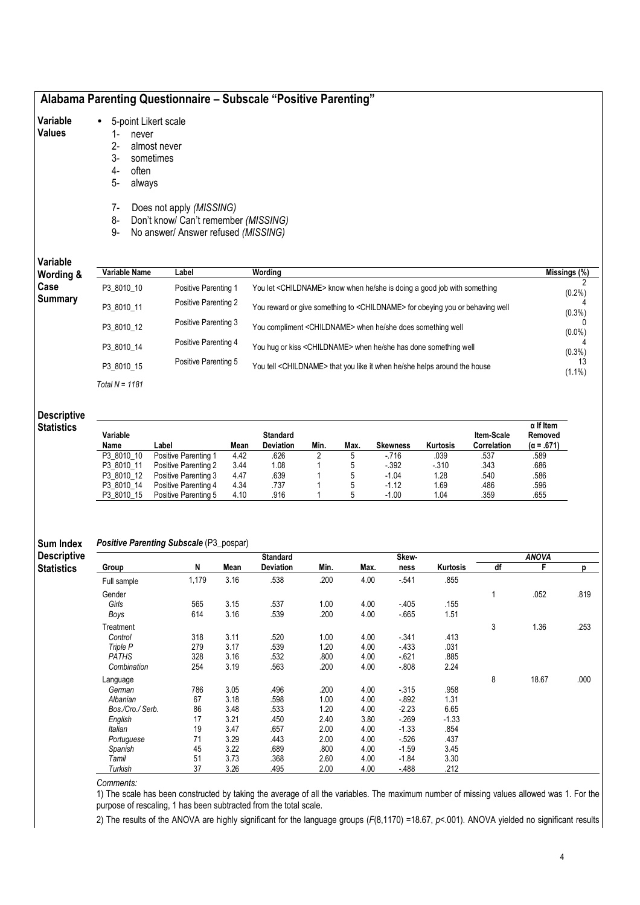# Alabama Parenting Questionnaire – Subscale "Positive Parenting"

#### Variable • 5-point Likert scale

#### Values

- 1- never<br>2- almos almost never
- 3- sometimes
- 4- often
- 5- always
- 7- Does not apply (MISSING)
- 8- Don't know/ Can't remember (MISSING)
- 9- No answer/ Answer refused (MISSING)

# Variable

| Variable<br>Wording & | Variable Name    | Label                | Wordina                                                                                  | Missings (%) |
|-----------------------|------------------|----------------------|------------------------------------------------------------------------------------------|--------------|
| Case                  | P3 8010 10       | Positive Parenting 1 | You let <childname> know when he/she is doing a good job with something</childname>      | $(0.2\%)$    |
| <b>Summary</b>        | P3 8010 11       | Positive Parenting 2 | You reward or give something to <childname> for obeying you or behaving well</childname> | $(0.3\%)$    |
|                       | P3 8010 12       | Positive Parenting 3 | You compliment < CHILDNAME> when he/she does something well                              | $(0.0\%)$    |
|                       | P3 8010 14       | Positive Parenting 4 | You hug or kiss <childname> when he/she has done something well</childname>              | $(0.3\%)$    |
|                       | P3 8010 15       | Positive Parenting 5 | You tell <childname> that you like it when he/she helps around the house</childname>     | $(1.1\%)$    |
|                       | Total $N = 1181$ |                      |                                                                                          |              |

#### Descriptive **Statistics**

| Variable<br>Name | .abel                | Mean | <b>Standard</b><br><b>Deviation</b> | Min. | Max. | Skewness | Kurtosis | <b>Item-Scale</b><br>Correlation | $\alpha$ If Item<br>Removed<br>$(\alpha = .671)$ |
|------------------|----------------------|------|-------------------------------------|------|------|----------|----------|----------------------------------|--------------------------------------------------|
| P3 8010 10       | Positive Parenting 1 | 4.42 | .626                                |      |      | $-716$   | .039     | .537                             | .589                                             |
| P3 8010 11       | Positive Parenting 2 | 3.44 | 1.08                                |      |      | $-392$   | $-310$   | .343                             | .686                                             |
| P3 8010 12       | Positive Parenting 3 | 4.47 | .639                                |      |      | $-1.04$  | 1.28     | .540                             | .586                                             |
| P3 8010 14       | Positive Parenting 4 | 4.34 | .737                                |      |      | $-1.12$  | 1.69     | 486                              | .596                                             |
| P3 8010 15       | Positive Parenting 5 | 4.10 | .916                                |      |      | $-1.00$  | 1.04     | .359                             | .655                                             |

#### Sum Index Positive Parenting Subscale (P3\_pospar)

| <b>Descriptive</b> |                  |       |      | <b>Standard</b> |      |      | Skew-    |          |    | <b>ANOVA</b> |      |
|--------------------|------------------|-------|------|-----------------|------|------|----------|----------|----|--------------|------|
| <b>Statistics</b>  | Group            | N     | Mean | Deviation       | Min. | Max. | ness     | Kurtosis | df | F            | р    |
|                    | Full sample      | 1,179 | 3.16 | .538            | .200 | 4.00 | $-541$   | .855     |    |              |      |
|                    | Gender           |       |      |                 |      |      |          |          |    | .052         | .819 |
|                    | Girls            | 565   | 3.15 | .537            | 1.00 | 4.00 | $-405$   | .155     |    |              |      |
|                    | Boys             | 614   | 3.16 | .539            | .200 | 4.00 | $-665$   | 1.51     |    |              |      |
|                    | Treatment        |       |      |                 |      |      |          |          | 3  | 1.36         | .253 |
|                    | Control          | 318   | 3.11 | .520            | 1.00 | 4.00 | $-341$   | .413     |    |              |      |
|                    | Triple P         | 279   | 3.17 | .539            | 1.20 | 4.00 | $-433$   | .031     |    |              |      |
|                    | <b>PATHS</b>     | 328   | 3.16 | .532            | .800 | 4.00 | $-621$   | .885     |    |              |      |
|                    | Combination      | 254   | 3.19 | .563            | .200 | 4.00 | $-0.808$ | 2.24     |    |              |      |
|                    | Language         |       |      |                 |      |      |          |          | 8  | 18.67        | .000 |
|                    | German           | 786   | 3.05 | .496            | .200 | 4.00 | $-315$   | .958     |    |              |      |
|                    | Albanian         | 67    | 3.18 | .598            | 1.00 | 4.00 | $-0.892$ | 1.31     |    |              |      |
|                    | Bos./Cro./ Serb. | 86    | 3.48 | .533            | 1.20 | 4.00 | $-2.23$  | 6.65     |    |              |      |
|                    | English          | 17    | 3.21 | .450            | 2.40 | 3.80 | $-269$   | $-1.33$  |    |              |      |
|                    | Italian          | 19    | 3.47 | .657            | 2.00 | 4.00 | $-1.33$  | .854     |    |              |      |
|                    | Portuguese       | 71    | 3.29 | .443            | 2.00 | 4.00 | $-526$   | .437     |    |              |      |
|                    | Spanish          | 45    | 3.22 | .689            | .800 | 4.00 | $-1.59$  | 3.45     |    |              |      |
|                    | Tamil            | 51    | 3.73 | .368            | 2.60 | 4.00 | $-1.84$  | 3.30     |    |              |      |
|                    | Turkish          | 37    | 3.26 | .495            | 2.00 | 4.00 | $-488$   | .212     |    |              |      |

Comments:

1) The scale has been constructed by taking the average of all the variables. The maximum number of missing values allowed was 1. For the purpose of rescaling, 1 has been subtracted from the total scale.

2) The results of the ANOVA are highly significant for the language groups (F(8,1170) =18.67, p<.001). ANOVA yielded no significant results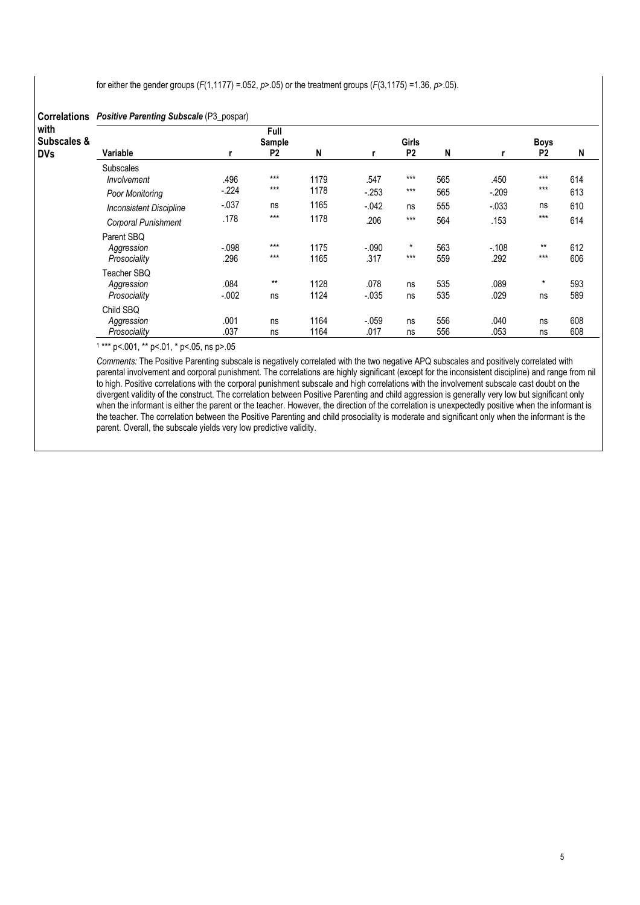for either the gender groups ( $F(1,1177) = .052$ ,  $p > .05$ ) or the treatment groups ( $F(3,1175) = 1.36$ ,  $p > .05$ ).

| <b>Correlations</b>               | <b>Positive Parenting Subscale (P3_pospar)</b> |                  |                                  |              |                  |                                |            |                 |                               |            |  |  |
|-----------------------------------|------------------------------------------------|------------------|----------------------------------|--------------|------------------|--------------------------------|------------|-----------------|-------------------------------|------------|--|--|
| with<br>Subscales &<br><b>DVs</b> | Variable                                       | r                | Full<br>Sample<br>P <sub>2</sub> | N            |                  | <b>Girls</b><br>P <sub>2</sub> | N          |                 | <b>Boys</b><br>P <sub>2</sub> | N          |  |  |
|                                   | <b>Subscales</b><br>Involvement                | .496             | $***$                            | 1179         | .547             | $***$                          | 565        | .450            | $***$                         | 614        |  |  |
|                                   | Poor Monitoring                                | $-.224$          | $***$                            | 1178         | $-253$           | $***$                          | 565        | $-.209$         | $***$                         | 613        |  |  |
|                                   | <b>Inconsistent Discipline</b>                 | $-.037$          | ns                               | 1165         | $-.042$          | ns                             | 555        | $-.033$         | ns                            | 610        |  |  |
|                                   | Corporal Punishment                            | .178             | $***$                            | 1178         | .206             | $***$                          | 564        | .153            | $***$                         | 614        |  |  |
|                                   | Parent SBQ<br>Aggression<br>Prosociality       | $-0.098$<br>.296 | $***$<br>$***$                   | 1175<br>1165 | $-.090$<br>.317  | $^\star$<br>$***$              | 563<br>559 | $-.108$<br>.292 | $***$<br>$***$                | 612<br>606 |  |  |
|                                   | Teacher SBQ<br>Aggression<br>Prosociality      | .084<br>$-0.002$ | $***$<br>ns                      | 1128<br>1124 | .078<br>$-0.035$ | ns<br>ns                       | 535<br>535 | .089<br>.029    | $\star$<br>ns                 | 593<br>589 |  |  |
|                                   | Child SBQ<br>Aggression<br>Prosociality        | .001<br>.037     | ns<br>ns                         | 1164<br>1164 | $-0.59$<br>.017  | ns<br>ns                       | 556<br>556 | .040<br>.053    | ns<br>ns                      | 608<br>608 |  |  |

1 \*\*\* p<.001, \*\* p<.01, \* p<.05, ns p>.05

Comments: The Positive Parenting subscale is negatively correlated with the two negative APQ subscales and positively correlated with parental involvement and corporal punishment. The correlations are highly significant (except for the inconsistent discipline) and range from nil to high. Positive correlations with the corporal punishment subscale and high correlations with the involvement subscale cast doubt on the divergent validity of the construct. The correlation between Positive Parenting and child aggression is generally very low but significant only when the informant is either the parent or the teacher. However, the direction of the correlation is unexpectedly positive when the informant is the teacher. The correlation between the Positive Parenting and child prosociality is moderate and significant only when the informant is the parent. Overall, the subscale yields very low predictive validity.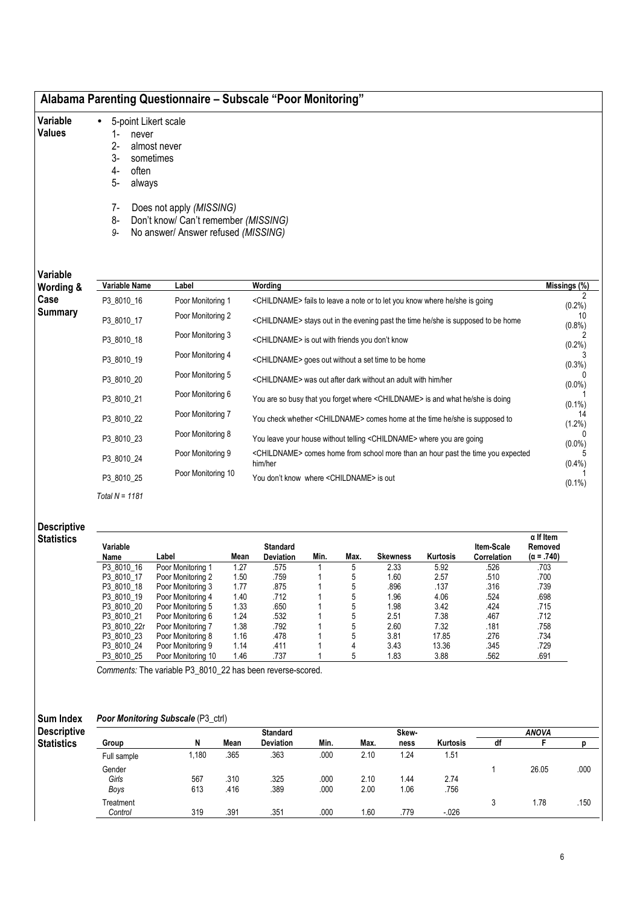| <b>Variable</b><br><b>Values</b> | 5-point Likert scale<br>$\bullet$<br>$1 -$<br>never<br>$2-$<br>almost never<br>3-<br>sometimes<br>4-<br>often<br>5-<br>always |                                                                                                         |                                                                                                         |                                                         |
|----------------------------------|-------------------------------------------------------------------------------------------------------------------------------|---------------------------------------------------------------------------------------------------------|---------------------------------------------------------------------------------------------------------|---------------------------------------------------------|
| Variable                         | $7-$<br>8-<br>9-                                                                                                              | Does not apply (MISSING)<br>Don't know/ Can't remember (MISSING)<br>No answer/ Answer refused (MISSING) |                                                                                                         |                                                         |
| Wording &                        | Variable Name                                                                                                                 | Label                                                                                                   | Wording                                                                                                 | Missings (%)                                            |
| Case                             | P3 8010 16                                                                                                                    | Poor Monitoring 1                                                                                       | <childname> fails to leave a note or to let you know where he/she is going</childname>                  | $\mathfrak{p}$<br>$(0.2\%)$                             |
| <b>Summary</b>                   | P3_8010_17                                                                                                                    | Poor Monitoring 2                                                                                       | <childname> stays out in the evening past the time he/she is supposed to be home</childname>            | 10<br>(0.8% )                                           |
|                                  | P3 8010 18                                                                                                                    | Poor Monitoring 3                                                                                       | <childname> is out with friends you don't know</childname>                                              | $(0.2\%)$                                               |
|                                  | P3 8010 19                                                                                                                    | Poor Monitoring 4                                                                                       | <childname> goes out without a set time to be home</childname>                                          |                                                         |
|                                  | P3_8010_20                                                                                                                    | Poor Monitoring 5                                                                                       | <childname> was out after dark without an adult with him/her</childname>                                | $(0.3\%)$<br>$(0.0\%)$                                  |
|                                  |                                                                                                                               |                                                                                                         |                                                                                                         |                                                         |
|                                  | P3_8010_21                                                                                                                    | Poor Monitoring 6                                                                                       | You are so busy that you forget where <childname> is and what he/she is doing</childname>               |                                                         |
|                                  | P3 8010 22                                                                                                                    | Poor Monitoring 7                                                                                       | You check whether <childname> comes home at the time he/she is supposed to</childname>                  |                                                         |
|                                  | P3 8010 23                                                                                                                    | Poor Monitoring 8                                                                                       | You leave your house without telling <childname> where you are going</childname>                        |                                                         |
|                                  | P3_8010_24                                                                                                                    | Poor Monitoring 9                                                                                       | <childname> comes home from school more than an hour past the time you expected<br/>him/her</childname> | $(0.1\%)$<br>14<br>$(1.2\%)$<br>n<br>$(0.0\%)$<br>(0.4% |

### Descriptive

# Statistics

| Variable<br>Name | Label              | Mean | <b>Standard</b><br><b>Deviation</b> | Min. | Max. | <b>Skewness</b> | <b>Kurtosis</b> | <b>Item-Scale</b><br><b>Correlation</b> | $\alpha$ If Item<br>Removed<br>$(\alpha = .740)$ |
|------------------|--------------------|------|-------------------------------------|------|------|-----------------|-----------------|-----------------------------------------|--------------------------------------------------|
| P3 8010 16       | Poor Monitoring 1  | 1.27 | .575                                |      | 5    | 2.33            | 5.92            | .526                                    | .703                                             |
| P3 8010 17       | Poor Monitoring 2  | 1.50 | .759                                |      | 5    | 1.60            | 2.57            | .510                                    | .700                                             |
| P3 8010 18       | Poor Monitoring 3  | 1.77 | .875                                |      | 5    | .896            | .137            | .316                                    | .739                                             |
| P3 8010 19       | Poor Monitoring 4  | 1.40 | .712                                |      | 5    | 1.96            | 4.06            | .524                                    | .698                                             |
| P3 8010 20       | Poor Monitoring 5  | 1.33 | .650                                |      | 5    | 1.98            | 3.42            | .424                                    | .715                                             |
| P3 8010 21       | Poor Monitoring 6  | 1.24 | .532                                |      | 5    | 2.51            | 7.38            | .467                                    | .712                                             |
| P3 8010 22r      | Poor Monitoring 7  | 1.38 | .792                                |      |      | 2.60            | 7.32            | .181                                    | .758                                             |
| P3 8010 23       | Poor Monitoring 8  | 1.16 | .478                                |      | 5    | 3.81            | 17.85           | .276                                    | .734                                             |
| P3 8010 24       | Poor Monitoring 9  | 1.14 | .411                                |      |      | 3.43            | 13.36           | .345                                    | .729                                             |
| P3 8010 25       | Poor Monitoring 10 | 1.46 | .737                                |      | 5    | 1.83            | 3.88            | .562                                    | .691                                             |

Comments: The variable P3\_8010\_22 has been reverse-scored.

#### Sum Index Poor Monitoring Subscale (P3\_ctrl)

| <b>Descriptive</b> |             |      |      | <b>Standard</b> |      |      | Skew- |          |    | ANOVA |      |
|--------------------|-------------|------|------|-----------------|------|------|-------|----------|----|-------|------|
| <b>Statistics</b>  | Group       | N    | Mean | Deviation       | Min. | Max. | ness  | Kurtosis | df |       |      |
|                    | Full sample | ,180 | .365 | .363            | .000 | 2.10 | .24   | 1.51     |    |       |      |
|                    | Gender      |      |      |                 |      |      |       |          |    | 26.05 | .000 |
|                    | Girls       | 567  | .310 | .325            | .000 | 2.10 | 44، ، | 2.74     |    |       |      |
|                    | Boys        | 613  | .416 | .389            | .000 | 2.00 | 1.06  | .756     |    |       |      |
|                    | Treatment   |      |      |                 |      |      |       |          |    | 1.78  | .150 |
|                    | Control     | 319  | .391 | .351            | .000 | .60  | .779  | $-0.026$ |    |       |      |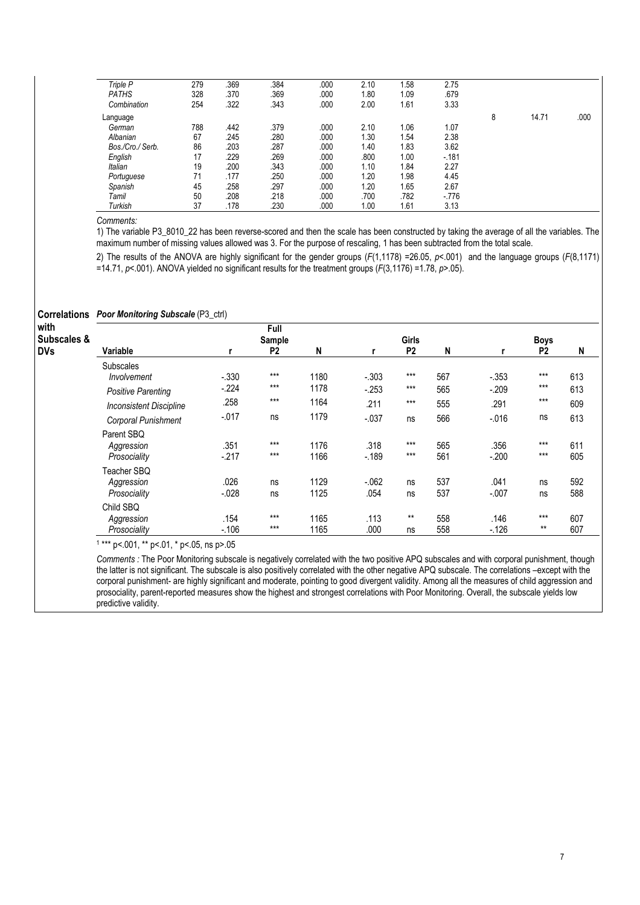| Triple P         | 279 | .369 | .384 | .000 | 2.10 | 1.58 | 2.75   |   |       |      |
|------------------|-----|------|------|------|------|------|--------|---|-------|------|
| <b>PATHS</b>     | 328 | .370 | .369 | .000 | 1.80 | 1.09 | .679   |   |       |      |
| Combination      | 254 | .322 | .343 | .000 | 2.00 | 1.61 | 3.33   |   |       |      |
| Language         |     |      |      |      |      |      |        | 8 | 14.71 | .000 |
| German           | 788 | .442 | .379 | .000 | 2.10 | 1.06 | 1.07   |   |       |      |
| Albanian         | 67  | .245 | .280 | .000 | 1.30 | 1.54 | 2.38   |   |       |      |
| Bos./Cro./ Serb. | 86  | .203 | .287 | .000 | 1.40 | 1.83 | 3.62   |   |       |      |
| English          | 17  | .229 | .269 | .000 | .800 | 1.00 | $-181$ |   |       |      |
| <b>Italian</b>   | 19  | .200 | .343 | .000 | 1.10 | 1.84 | 2.27   |   |       |      |
| Portuguese       | 71  | .177 | .250 | .000 | 1.20 | 1.98 | 4.45   |   |       |      |
| Spanish          | 45  | .258 | .297 | .000 | 1.20 | 1.65 | 2.67   |   |       |      |
| Tamil            | 50  | .208 | .218 | .000 | .700 | .782 | $-776$ |   |       |      |
| Turkish          | 37  | .178 | .230 | .000 | 1.00 | 1.61 | 3.13   |   |       |      |

1) The variable P3\_8010\_22 has been reverse-scored and then the scale has been constructed by taking the average of all the variables. The maximum number of missing values allowed was 3. For the purpose of rescaling, 1 has been subtracted from the total scale.

2) The results of the ANOVA are highly significant for the gender groups  $(F(1.1178) = 26.05, p < 0.001)$  and the language groups  $(F(8.1171)$  $=$ 14.71, p<.001). ANOVA yielded no significant results for the treatment groups ( $F(3,1176) = 1.78$ , p>.05).

| <b>Correlations</b>               | <b>Poor Monitoring Subscale (P3_ctrl)</b>                   |                  |                                         |              |                 |                         |            |                 |                               |            |  |  |
|-----------------------------------|-------------------------------------------------------------|------------------|-----------------------------------------|--------------|-----------------|-------------------------|------------|-----------------|-------------------------------|------------|--|--|
| with<br>Subscales &<br><b>DVs</b> | Variable                                                    |                  | <b>Full</b><br>Sample<br>P <sub>2</sub> | N            |                 | Girls<br>P <sub>2</sub> | N          |                 | <b>Boys</b><br>P <sub>2</sub> | N          |  |  |
|                                   | <b>Subscales</b><br>Involvement                             | $-0.330$         | $***$<br>$***$                          | 1180         | $-.303$         | $***$                   | 567        | $-.353$         | $***$<br>$***$                | 613        |  |  |
|                                   | <b>Positive Parenting</b><br><b>Inconsistent Discipline</b> | $-224$<br>.258   | $***$                                   | 1178<br>1164 | $-.253$<br>.211 | $***$<br>$***$          | 565<br>555 | $-.209$<br>.291 | $***$                         | 613<br>609 |  |  |
|                                   | Corporal Punishment                                         | $-017$           | ns                                      | 1179         | $-0.37$         | ns                      | 566        | $-0.016$        | ns                            | 613        |  |  |
|                                   | Parent SBQ<br>Aggression<br>Prosociality                    | .351<br>$-217$   | $***$<br>$***$                          | 1176<br>1166 | .318<br>$-189$  | $***$<br>$***$          | 565<br>561 | .356<br>$-.200$ | $***$<br>$***$                | 611<br>605 |  |  |
|                                   | Teacher SBQ<br>Aggression<br>Prosociality                   | .026<br>$-0.028$ | ns<br>ns                                | 1129<br>1125 | $-062$<br>.054  | ns<br>ns                | 537<br>537 | .041<br>$-.007$ | ns<br>ns                      | 592<br>588 |  |  |
|                                   | Child SBQ<br>Aggression<br>Prosociality                     | .154<br>$-.106$  | $***$<br>$***$                          | 1165<br>1165 | .113<br>.000    | $***$<br>ns             | 558<br>558 | .146<br>$-.126$ | $***$<br>$***$                | 607<br>607 |  |  |

1 \*\*\* p<.001, \*\* p<.01, \* p<.05, ns p>.05

Comments : The Poor Monitoring subscale is negatively correlated with the two positive APQ subscales and with corporal punishment, though the latter is not significant. The subscale is also positively correlated with the other negative APQ subscale. The correlations –except with the corporal punishment- are highly significant and moderate, pointing to good divergent validity. Among all the measures of child aggression and prosociality, parent-reported measures show the highest and strongest correlations with Poor Monitoring. Overall, the subscale yields low predictive validity.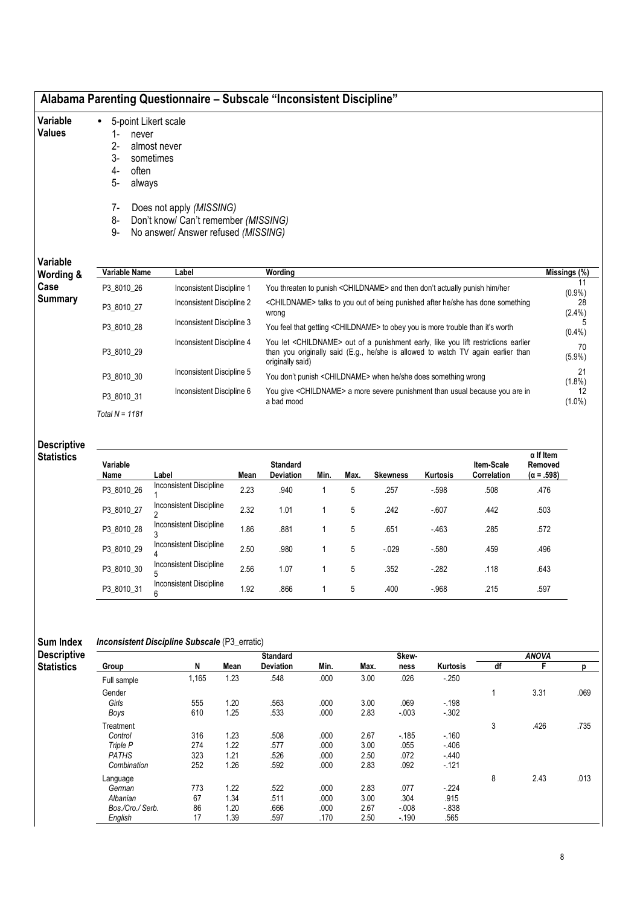| Alabama Parenting Questionnaire – Subscale "Inconsistent Discipline" |  |  |  |  |
|----------------------------------------------------------------------|--|--|--|--|
|----------------------------------------------------------------------|--|--|--|--|

#### Variable • 5-point Likert scale

- Values
- 1- never
	- 2- almost never 3- sometimes
	- 4- often
	-
	- 5- always
	- 7- Does not apply (MISSING)
	- 8- Don't know/ Can't remember (MISSING)
	- 9- No answer/ Answer refused (MISSING)

# Variable  $\mathsf{W}$

| Variable<br>Wording & | Variable Name    | Label                     | Wordina                                                                                                                                                                                                 | Missings (%)    |
|-----------------------|------------------|---------------------------|---------------------------------------------------------------------------------------------------------------------------------------------------------------------------------------------------------|-----------------|
| Case                  | P3 8010 26       | Inconsistent Discipline 1 | You threaten to punish <childname> and then don't actually punish him/her</childname>                                                                                                                   | $(0.9\%)$       |
| Summary               | P3 8010 27       | Inconsistent Discipline 2 | <childname> talks to you out of being punished after he/she has done something<br/>wrong</childname>                                                                                                    | 28<br>$(2.4\%)$ |
|                       | P3 8010 28       | Inconsistent Discipline 3 | You feel that getting <childname> to obey you is more trouble than it's worth</childname>                                                                                                               | $(0.4\%)$       |
|                       | P3 8010 29       | Inconsistent Discipline 4 | You let <childname> out of a punishment early, like you lift restrictions earlier<br/>than you originally said (E.g., he/she is allowed to watch TV again earlier than<br/>originally said)</childname> | 70<br>$(5.9\%)$ |
|                       | P3 8010 30       | Inconsistent Discipline 5 | You don't punish <childname> when he/she does something wrong</childname>                                                                                                                               | 21<br>$(1.8\%)$ |
|                       | P3 8010 31       | Inconsistent Discipline 6 | You give <childname> a more severe punishment than usual because you are in<br/>a bad mood</childname>                                                                                                  | 12<br>$(1.0\%)$ |
|                       | Total $N = 1181$ |                           |                                                                                                                                                                                                         |                 |

### Descriptive

| <b>Statistics</b> |
|-------------------|
|-------------------|

| Variable<br>Name | Label                               | Mean | <b>Standard</b><br><b>Deviation</b> | Min. | Max. | <b>Skewness</b> | <b>Kurtosis</b> | Item-Scale<br>Correlation | $\alpha$ If Item<br>Removed<br>$(\alpha = .598)$ |
|------------------|-------------------------------------|------|-------------------------------------|------|------|-----------------|-----------------|---------------------------|--------------------------------------------------|
| P3 8010 26       | Inconsistent Discipline             | 2.23 | .940                                |      | 5    | .257            | $-598$          | .508                      | .476                                             |
| P3 8010 27       | Inconsistent Discipline<br>n        | 2.32 | 1.01                                |      | 5    | .242            | $-607$          | .442                      | .503                                             |
| P3 8010 28       | Inconsistent Discipline<br>າ        | 1.86 | .881                                |      | 5    | .651            | $-463$          | .285                      | .572                                             |
| P3 8010 29       | Inconsistent Discipline<br>4        | 2.50 | .980                                |      | 5    | $-.029$         | $-580$          | .459                      | .496                                             |
| P3 8010 30       | Inconsistent Discipline<br>5        | 2.56 | 1.07                                |      | 5    | .352            | $-282$          | .118                      | .643                                             |
| P3 8010 31       | <b>Inconsistent Discipline</b><br>6 | 1.92 | .866                                |      | 5    | .400            | $-968$          | .215                      | .597                                             |

#### Sum Index Inconsistent Discipline Subscale (P3\_erratic)

| <b>Descriptive</b> |                  |       |      | <b>Standard</b>  |      |      | Skew-   |                 |    | <b>ANOVA</b> |      |
|--------------------|------------------|-------|------|------------------|------|------|---------|-----------------|----|--------------|------|
| <b>Statistics</b>  | Group            | N     | Mean | <b>Deviation</b> | Min. | Max. | ness    | <b>Kurtosis</b> | df | F            | D    |
|                    | Full sample      | 1,165 | 1.23 | .548             | .000 | 3.00 | .026    | $-250$          |    |              |      |
|                    | Gender           |       |      |                  |      |      |         |                 |    | 3.31         | .069 |
|                    | Girls            | 555   | 1.20 | .563             | .000 | 3.00 | .069    | $-198$          |    |              |      |
|                    | Boys             | 610   | 1.25 | .533             | .000 | 2.83 | $-003$  | $-302$          |    |              |      |
|                    | Treatment        |       |      |                  |      |      |         |                 | 3  | .426         | .735 |
|                    | Control          | 316   | 1.23 | .508             | .000 | 2.67 | $-185$  | $-160$          |    |              |      |
|                    | Triple P         | 274   | 1.22 | .577             | .000 | 3.00 | .055    | $-406$          |    |              |      |
|                    | <b>PATHS</b>     | 323   | 1.21 | .526             | .000 | 2.50 | .072    | $-440$          |    |              |      |
|                    | Combination      | 252   | 1.26 | .592             | .000 | 2.83 | .092    | $-121$          |    |              |      |
|                    | Language         |       |      |                  |      |      |         |                 | 8  | 2.43         | .013 |
|                    | German           | 773   | 1.22 | .522             | .000 | 2.83 | .077    | $-224$          |    |              |      |
|                    | Albanian         | 67    | 1.34 | .511             | .000 | 3.00 | .304    | .915            |    |              |      |
|                    | Bos./Cro./ Serb. | 86    | 1.20 | .666             | .000 | 2.67 | $-008$  | $-838$          |    |              |      |
|                    | English          | 17    | 1.39 | .597             | .170 | 2.50 | $-.190$ | .565            |    |              |      |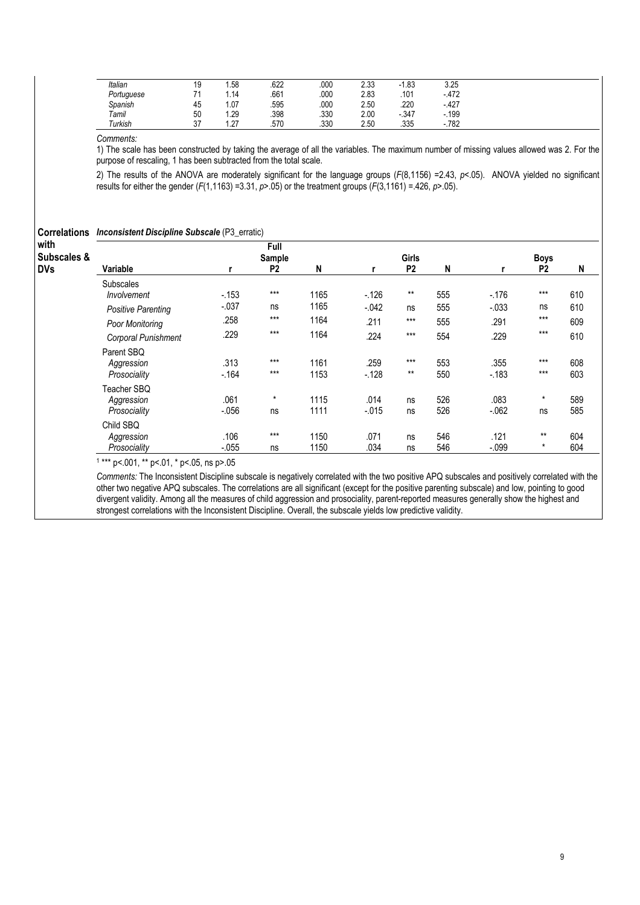| Italian    | ت ا     | .58 | .622 | .000 | 2.33 | l.83<br>- 1 | 3.25   |
|------------|---------|-----|------|------|------|-------------|--------|
| Portuguese |         | .14 | .661 | .000 | 2.83 | .101        | $-472$ |
| Spanish    | 45      | .07 | .595 | .000 | 2.50 | .220        | $-427$ |
| Tamil      | 50      | .29 | .398 | .330 | 2.00 | $-347$      | $-199$ |
| Turkish    | ົ<br>ັບ | ר ה | .570 | .330 | 2.50 | .335        | .782   |

1) The scale has been constructed by taking the average of all the variables. The maximum number of missing values allowed was 2. For the purpose of rescaling, 1 has been subtracted from the total scale.

2) The results of the ANOVA are moderately significant for the language groups ( $F(8,1156)$  = 2.43, p<.05). ANOVA yielded no significant results for either the gender  $(F(1,1163) = 3.31, p > .05)$  or the treatment groups  $(F(3,1161) = .426, p > .05)$ .

Correlations Inconsistent Discipline Subscale (P3\_erratic)

| with<br>Subscales & |                                           |                  | Full<br>Sample |              |                 | <b>Girls</b>   |            |                 | <b>Boys</b>      |            |
|---------------------|-------------------------------------------|------------------|----------------|--------------|-----------------|----------------|------------|-----------------|------------------|------------|
| <b>DVs</b>          | Variable                                  |                  | P <sub>2</sub> | N            |                 | <b>P2</b>      | N          |                 | P <sub>2</sub>   | N          |
|                     | Subscales                                 | $-153$           | $***$          | 1165         | $-126$          | $***$          | 555        | $-176$          | $***$            | 610        |
|                     | Involvement<br><b>Positive Parenting</b>  | $-0.037$         | ns             | 1165         | $-.042$         | ns             | 555        | $-.033$         | ns               | 610        |
|                     | Poor Monitoring                           | .258             | $***$          | 1164         | .211            | $***$          | 555        | .291            | $***$            | 609        |
|                     | Corporal Punishment                       | .229             | $***$          | 1164         | .224            | $***$          | 554        | .229            | $***$            | 610        |
|                     | Parent SBQ<br>Aggression<br>Prosociality  | .313<br>$-164$   | $***$<br>$***$ | 1161<br>1153 | .259<br>$-128$  | $***$<br>$***$ | 553<br>550 | .355<br>$-183$  | $***$<br>$***$   | 608<br>603 |
|                     | Teacher SBQ<br>Aggression<br>Prosociality | .061<br>$-0.056$ | $\star$<br>ns  | 1115<br>1111 | .014<br>$-.015$ | ns<br>ns       | 526<br>526 | .083<br>$-062$  | $\star$<br>ns    | 589<br>585 |
|                     | Child SBQ<br>Aggression<br>Prosociality   | .106<br>$-0.055$ | $***$<br>ns    | 1150<br>1150 | .071<br>.034    | ns<br>ns       | 546<br>546 | .121<br>$-.099$ | $***$<br>$\star$ | 604<br>604 |

1 \*\*\* p<.001, \*\* p<.01, \* p<.05, ns p>.05

Comments: The Inconsistent Discipline subscale is negatively correlated with the two positive APQ subscales and positively correlated with the other two negative APQ subscales. The correlations are all significant (except for the positive parenting subscale) and low, pointing to good divergent validity. Among all the measures of child aggression and prosociality, parent-reported measures generally show the highest and strongest correlations with the Inconsistent Discipline. Overall, the subscale yields low predictive validity.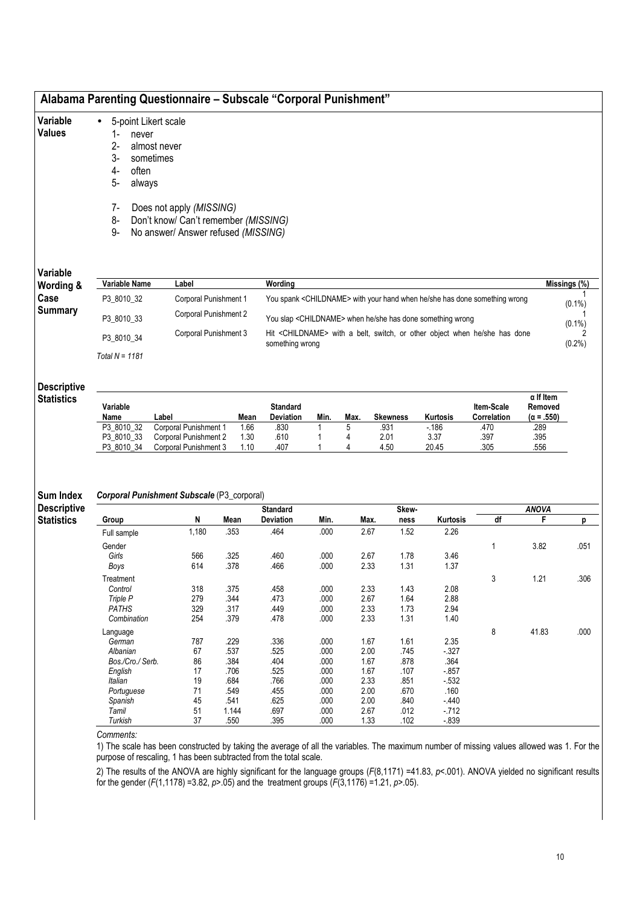| Variable<br><b>Values</b>                            | 5-point Likert scale<br>$\bullet$<br>1-<br>never<br>$2 -$<br>3-<br>4-<br>often<br>5-<br>always | almost never<br>sometimes                                                                               |                      |                              |              |              |                 |                                                                       |                                                                                       |                              |              |
|------------------------------------------------------|------------------------------------------------------------------------------------------------|---------------------------------------------------------------------------------------------------------|----------------------|------------------------------|--------------|--------------|-----------------|-----------------------------------------------------------------------|---------------------------------------------------------------------------------------|------------------------------|--------------|
|                                                      | $7-$<br>8-<br>9-                                                                               | Does not apply (MISSING)<br>Don't know/ Can't remember (MISSING)<br>No answer/ Answer refused (MISSING) |                      |                              |              |              |                 |                                                                       |                                                                                       |                              |              |
| Variable<br>Wording &                                | Variable Name                                                                                  | Label                                                                                                   |                      | Wording                      |              |              |                 |                                                                       |                                                                                       |                              | Missings (%) |
| Case                                                 | P3_8010_32                                                                                     | Corporal Punishment 1                                                                                   |                      |                              |              |              |                 |                                                                       | You spank <childname> with your hand when he/she has done something wrong</childname> |                              | $(0.1\%)$    |
| <b>Summary</b>                                       | P3_8010_33                                                                                     | Corporal Punishment 2                                                                                   |                      |                              |              |              |                 | You slap <childname> when he/she has done something wrong</childname> |                                                                                       |                              | $(0.1\%)$    |
|                                                      | P3_8010_34                                                                                     | Corporal Punishment 3                                                                                   |                      | something wrong              |              |              |                 |                                                                       | Hit <childname> with a belt, switch, or other object when he/she has done</childname> |                              | 2<br>(0.2%)  |
|                                                      | Total $N = 1181$                                                                               |                                                                                                         |                      |                              |              |              |                 |                                                                       |                                                                                       |                              |              |
| <b>Descriptive</b><br><b>Statistics</b>              |                                                                                                |                                                                                                         |                      |                              |              |              |                 |                                                                       | $\alpha$ If Item                                                                      |                              |              |
|                                                      | Variable<br>Name                                                                               | Label                                                                                                   | Mean                 | <b>Standard</b><br>Deviation | Min.         | Max.         | <b>Skewness</b> | <b>Kurtosis</b>                                                       | Item-Scale<br>Correlation                                                             | Removed<br>$(\alpha = .550)$ |              |
|                                                      | P3_8010_32<br>P3_8010_33                                                                       | Corporal Punishment 1<br>Corporal Punishment 2                                                          | 1.66<br>1.30<br>1.10 | .830<br>.610<br>.407         | 1<br>1       | 5<br>4<br>4  | .931<br>2.01    | $-186$<br>3.37<br>20.45                                               | .470<br>.397<br>.305                                                                  | .289<br>.395<br>.556         |              |
|                                                      | P3_8010_34                                                                                     | Corporal Punishment 3                                                                                   |                      |                              | 1            |              | 4.50            |                                                                       |                                                                                       |                              |              |
|                                                      |                                                                                                | Corporal Punishment Subscale (P3_corporal)                                                              |                      | <b>Standard</b>              |              |              | Skew-           |                                                                       |                                                                                       | <b>ANOVA</b>                 |              |
| Sum Index<br><b>Descriptive</b><br><b>Statistics</b> | Group                                                                                          | N                                                                                                       | Mean                 | <b>Deviation</b>             | Min.         | Max.         | ness            | Kurtosis                                                              | df                                                                                    | F                            | р            |
|                                                      | Full sample                                                                                    | 1,180                                                                                                   | .353                 | .464                         | .000         | 2.67         | 1.52            | 2.26                                                                  |                                                                                       |                              |              |
|                                                      | Gender<br>Girls                                                                                | 566                                                                                                     | .325                 | .460                         | .000         | 2.67         | 1.78            | 3.46                                                                  | 1                                                                                     | 3.82                         | .051         |
|                                                      | Boys                                                                                           | 614                                                                                                     | .378                 | .466                         | .000         | 2.33         | 1.31            | 1.37                                                                  |                                                                                       |                              |              |
|                                                      | Treatment                                                                                      |                                                                                                         |                      |                              |              |              |                 |                                                                       | 3                                                                                     | 1.21                         |              |
|                                                      | Control                                                                                        | 318                                                                                                     | .375                 | .458                         | .000         | 2.33         | 1.43            | 2.08                                                                  |                                                                                       |                              | .306         |
|                                                      | Triple P                                                                                       | 279                                                                                                     | .344                 | .473                         | .000         | 2.67         | 1.64            | 2.88                                                                  |                                                                                       |                              |              |
|                                                      | <b>PATHS</b><br>Combination                                                                    | 329<br>254                                                                                              | .317<br>.379         | .449<br>.478                 | .000<br>.000 | 2.33<br>2.33 | 1.73<br>1.31    | 2.94<br>1.40                                                          |                                                                                       |                              |              |
|                                                      | Language                                                                                       |                                                                                                         |                      |                              |              |              |                 |                                                                       | 8                                                                                     | 41.83                        |              |
|                                                      | German                                                                                         | 787                                                                                                     | .229                 | .336                         | .000         | 1.67         | 1.61            | 2.35                                                                  |                                                                                       |                              |              |
|                                                      | Albanian                                                                                       | 67                                                                                                      | .537                 | .525                         | .000         | 2.00         | .745            | $-327$                                                                |                                                                                       |                              |              |
|                                                      | Bos./Cro./ Serb.                                                                               | 86                                                                                                      | .384                 | .404                         | .000         | 1.67         | .878            | .364                                                                  |                                                                                       |                              |              |
|                                                      | English<br>Italian                                                                             | 17                                                                                                      | .706                 | .525                         | .000<br>.000 | 1.67         | .107            | $-0.857$                                                              |                                                                                       |                              |              |
|                                                      | Portuguese                                                                                     | 19<br>71                                                                                                | .684<br>.549         | .766<br>.455                 | .000         | 2.33<br>2.00 | .851<br>.670    | $-532$<br>.160                                                        |                                                                                       |                              |              |
|                                                      | Spanish                                                                                        | 45                                                                                                      | .541                 | .625                         | .000         | 2.00         | .840            | $-440$                                                                |                                                                                       |                              | .000         |
|                                                      | Tamil<br>Turkish                                                                               | 51<br>37                                                                                                | 1.144<br>.550        | .697<br>.395                 | .000<br>.000 | 2.67<br>1.33 | .012<br>.102    | $-712$<br>$-0.839$                                                    |                                                                                       |                              |              |

1) The scale has been constructed by taking the average of all the variables. The maximum number of missing values allowed was 1. For the purpose of rescaling, 1 has been subtracted from the total scale.

2) The results of the ANOVA are highly significant for the language groups (F(8,1171) =41.83, p<.001). ANOVA yielded no significant results for the gender (F(1,1178) = 3.82,  $p$  > .05) and the treatment groups (F(3,1176) = 1.21,  $p$  > .05).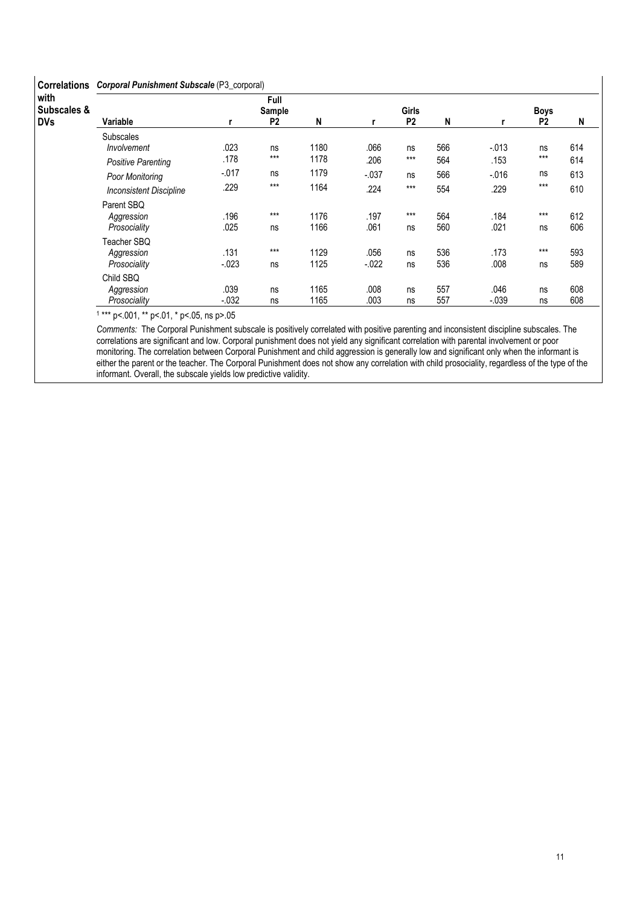| <b>Correlations</b>               | Corporal Punishment Subscale (P3_corporal) |          |                                  |      |         |                         |     |         |                               |     |  |  |
|-----------------------------------|--------------------------------------------|----------|----------------------------------|------|---------|-------------------------|-----|---------|-------------------------------|-----|--|--|
| with<br>Subscales &<br><b>DVs</b> | Variable                                   | r        | Full<br>Sample<br>P <sub>2</sub> | N    |         | Girls<br>P <sub>2</sub> | N   | r       | <b>Boys</b><br>P <sub>2</sub> | N   |  |  |
|                                   |                                            |          |                                  |      |         |                         |     |         |                               |     |  |  |
|                                   | <b>Subscales</b><br>Involvement            | .023     | ns                               | 1180 | .066    | ns                      | 566 | $-.013$ | ns                            | 614 |  |  |
|                                   | <b>Positive Parenting</b>                  | .178     | $***$                            | 1178 | .206    | $***$                   | 564 | .153    | $***$                         | 614 |  |  |
|                                   | Poor Monitoring                            | $-0.017$ | ns                               | 1179 | $-.037$ | ns                      | 566 | $-.016$ | ns                            | 613 |  |  |
|                                   | <b>Inconsistent Discipline</b>             | .229     | $***$                            | 1164 | .224    | $***$                   | 554 | .229    | $***$                         | 610 |  |  |
|                                   | Parent SBQ                                 |          |                                  |      |         |                         |     |         |                               |     |  |  |
|                                   | Aggression                                 | .196     | $***$                            | 1176 | .197    | $***$                   | 564 | .184    | $***$                         | 612 |  |  |
|                                   | Prosociality                               | .025     | ns                               | 1166 | .061    | ns                      | 560 | .021    | ns                            | 606 |  |  |
|                                   | Teacher SBQ                                |          |                                  |      |         |                         |     |         |                               |     |  |  |
|                                   | Aggression                                 | .131     | $***$                            | 1129 | .056    | ns                      | 536 | .173    | $***$                         | 593 |  |  |
|                                   | Prosociality                               | $-0.023$ | ns                               | 1125 | $-.022$ | ns                      | 536 | .008    | ns                            | 589 |  |  |
|                                   | Child SBQ                                  |          |                                  |      |         |                         |     |         |                               |     |  |  |
|                                   | Aggression                                 | .039     | ns                               | 1165 | .008    | ns                      | 557 | .046    | ns                            | 608 |  |  |
|                                   | Prosociality                               | $-0.032$ | ns                               | 1165 | .003    | ns                      | 557 | $-.039$ | ns                            | 608 |  |  |

1 \*\*\* p<.001, \*\* p<.01, \* p<.05, ns p>.05

Comments: The Corporal Punishment subscale is positively correlated with positive parenting and inconsistent discipline subscales. The correlations are significant and low. Corporal punishment does not yield any significant correlation with parental involvement or poor monitoring. The correlation between Corporal Punishment and child aggression is generally low and significant only when the informant is either the parent or the teacher. The Corporal Punishment does not show any correlation with child prosociality, regardless of the type of the informant. Overall, the subscale yields low predictive validity.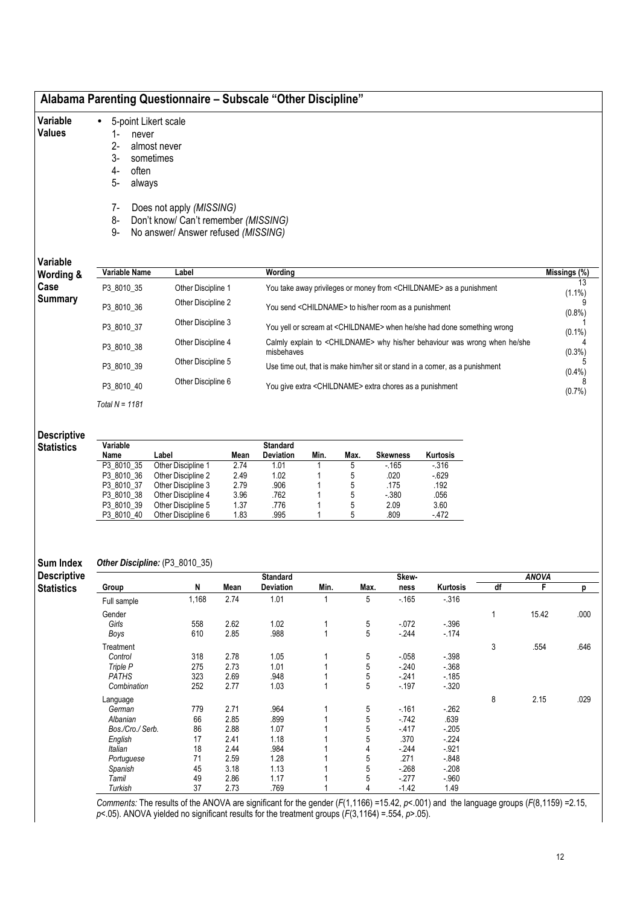| Variable                         | 5-point Likert scale<br>$\bullet$            |                                                                  |              |                                                                              |                                                                                                      |                        |                                                                     |                                                                                |    |              |                 |  |  |  |
|----------------------------------|----------------------------------------------|------------------------------------------------------------------|--------------|------------------------------------------------------------------------------|------------------------------------------------------------------------------------------------------|------------------------|---------------------------------------------------------------------|--------------------------------------------------------------------------------|----|--------------|-----------------|--|--|--|
| <b>Values</b>                    | 1-<br>never                                  |                                                                  |              |                                                                              |                                                                                                      |                        |                                                                     |                                                                                |    |              |                 |  |  |  |
|                                  | $2 -$                                        | almost never                                                     |              |                                                                              |                                                                                                      |                        |                                                                     |                                                                                |    |              |                 |  |  |  |
|                                  | 3-<br>sometimes                              |                                                                  |              |                                                                              |                                                                                                      |                        |                                                                     |                                                                                |    |              |                 |  |  |  |
|                                  | 4-<br>often                                  |                                                                  |              |                                                                              |                                                                                                      |                        |                                                                     |                                                                                |    |              |                 |  |  |  |
|                                  | 5-<br>always                                 |                                                                  |              |                                                                              |                                                                                                      |                        |                                                                     |                                                                                |    |              |                 |  |  |  |
|                                  | $7-$<br>8-                                   | Does not apply (MISSING)<br>Don't know/ Can't remember (MISSING) |              |                                                                              |                                                                                                      |                        |                                                                     |                                                                                |    |              |                 |  |  |  |
|                                  | 9-                                           | No answer/ Answer refused (MISSING)                              |              |                                                                              |                                                                                                      |                        |                                                                     |                                                                                |    |              |                 |  |  |  |
| Variable<br><b>Wording &amp;</b> | Variable Name                                | Label                                                            |              | Wording                                                                      |                                                                                                      |                        |                                                                     |                                                                                |    |              | Missings (%)    |  |  |  |
| Case                             | P3_8010_35                                   | Other Discipline 1                                               |              |                                                                              |                                                                                                      |                        |                                                                     | You take away privileges or money from <childname> as a punishment</childname> |    |              | 13<br>$(1.1\%)$ |  |  |  |
| <b>Summary</b>                   | P3_8010_36                                   | Other Discipline 2                                               |              |                                                                              |                                                                                                      |                        | You send <childname> to his/her room as a punishment</childname>    |                                                                                |    |              | 9<br>$(0.8\%)$  |  |  |  |
|                                  | P3_8010_37                                   | Other Discipline 3                                               |              |                                                                              | You yell or scream at <childname> when he/she had done something wrong</childname>                   |                        |                                                                     |                                                                                |    |              |                 |  |  |  |
|                                  | P3_8010_38                                   | Other Discipline 4                                               |              |                                                                              | Calmly explain to <childname> why his/her behaviour was wrong when he/she<br/>misbehaves</childname> |                        |                                                                     |                                                                                |    |              |                 |  |  |  |
|                                  | P3_8010_39                                   | Other Discipline 5                                               |              | Use time out, that is make him/her sit or stand in a corner, as a punishment |                                                                                                      | $(0.3\%)$<br>$(0.4\%)$ |                                                                     |                                                                                |    |              |                 |  |  |  |
|                                  | P3_8010_40                                   | Other Discipline 6                                               |              |                                                                              |                                                                                                      |                        | You give extra <childname> extra chores as a punishment</childname> |                                                                                |    |              | (0.7%           |  |  |  |
|                                  | Total $N = 1181$                             |                                                                  |              |                                                                              |                                                                                                      |                        |                                                                     |                                                                                |    |              |                 |  |  |  |
| <b>Descriptive</b>               |                                              |                                                                  |              |                                                                              |                                                                                                      |                        |                                                                     |                                                                                |    |              |                 |  |  |  |
| <b>Statistics</b>                | Variable                                     |                                                                  |              | <b>Standard</b>                                                              |                                                                                                      |                        |                                                                     |                                                                                |    |              |                 |  |  |  |
|                                  | Name<br>P3_8010_35                           | Label<br>Other Discipline 1                                      | Mean<br>2.74 | Deviation<br>1.01                                                            | Min.<br>1                                                                                            | Max.<br>5              | <b>Skewness</b><br>$-165$                                           | Kurtosis<br>$-316$                                                             |    |              |                 |  |  |  |
|                                  | P3_8010_36                                   | Other Discipline 2                                               | 2.49         | 1.02                                                                         | 1                                                                                                    | 5                      | .020                                                                | $-629$                                                                         |    |              |                 |  |  |  |
|                                  | P3_8010_37                                   | Other Discipline 3                                               | 2.79         | .906                                                                         | 1                                                                                                    | 5                      | .175                                                                | .192                                                                           |    |              |                 |  |  |  |
|                                  | P3_8010_38                                   | Other Discipline 4                                               | 3.96         | .762                                                                         | 1                                                                                                    | 5                      | $-380$                                                              | .056                                                                           |    |              |                 |  |  |  |
|                                  | P3_8010_39                                   | Other Discipline 5                                               | 1.37         | .776                                                                         | 1                                                                                                    | 5                      | 2.09                                                                | 3.60                                                                           |    |              |                 |  |  |  |
| <b>Sum Index</b>                 | P3_8010_40<br>Other Discipline: (P3_8010_35) | Other Discipline 6                                               | 1.83         | .995                                                                         |                                                                                                      | 5                      | .809                                                                | $-472$                                                                         |    |              |                 |  |  |  |
| <b>Descriptive</b>               |                                              |                                                                  |              | <b>Standard</b>                                                              |                                                                                                      |                        | Skew-                                                               |                                                                                |    | <b>ANOVA</b> |                 |  |  |  |
| <b>Statistics</b>                | Group                                        | N                                                                | Mean         | <b>Deviation</b>                                                             | Min.                                                                                                 | Max.                   | ness                                                                | Kurtosis                                                                       | df | F            | p               |  |  |  |
|                                  | Full sample                                  | 1,168                                                            | 2.74         | 1.01                                                                         |                                                                                                      | 5                      | $-165$                                                              | $-316$                                                                         |    |              |                 |  |  |  |
|                                  | Gender                                       |                                                                  |              |                                                                              |                                                                                                      |                        |                                                                     |                                                                                | 1  | 15.42        | .000            |  |  |  |
|                                  | Girls                                        | 558                                                              | 2.62<br>2.85 | 1.02<br>.988                                                                 | 1<br>$\mathbf{1}$                                                                                    | 5<br>5                 | $-072$                                                              | $-396$                                                                         |    |              |                 |  |  |  |
|                                  | Boys                                         | 610                                                              |              |                                                                              |                                                                                                      |                        | $-244$                                                              | $-174$                                                                         |    |              |                 |  |  |  |
|                                  | Treatment<br>Control                         |                                                                  |              |                                                                              |                                                                                                      |                        |                                                                     |                                                                                | 3  | .554         | .646            |  |  |  |
|                                  | Triple P                                     | 318<br>275                                                       | 2.78<br>2.73 | 1.05<br>1.01                                                                 | 1<br>1                                                                                               | 5<br>5                 | $-0.058$<br>$-240$                                                  | $-0.398$<br>$-368$                                                             |    |              |                 |  |  |  |
|                                  |                                              | 323                                                              | 2.69         | .948                                                                         | 1                                                                                                    | 5                      | $-241$                                                              | $-185$                                                                         |    |              |                 |  |  |  |
|                                  |                                              |                                                                  | 2.77         | 1.03                                                                         | 1                                                                                                    | 5                      | $-197$                                                              | $-320$                                                                         |    |              |                 |  |  |  |
|                                  | <b>PATHS</b>                                 |                                                                  |              |                                                                              |                                                                                                      |                        |                                                                     |                                                                                |    |              |                 |  |  |  |
|                                  | Combination                                  | 252                                                              |              |                                                                              |                                                                                                      |                        |                                                                     |                                                                                |    |              |                 |  |  |  |
|                                  | Language                                     |                                                                  |              |                                                                              |                                                                                                      |                        |                                                                     |                                                                                | 8  | 2.15         |                 |  |  |  |
|                                  | German                                       | 779                                                              | 2.71         | .964                                                                         |                                                                                                      | 5                      | $-161$                                                              | $-262$                                                                         |    |              |                 |  |  |  |
|                                  | Albanian                                     | 66                                                               | 2.85         | .899                                                                         |                                                                                                      | 5                      | $-742$                                                              | .639                                                                           |    |              |                 |  |  |  |
|                                  | Bos./Cro./ Serb.                             | 86                                                               | 2.88         | 1.07                                                                         |                                                                                                      | 5                      | $-417$                                                              | $-205$                                                                         |    |              |                 |  |  |  |
|                                  | English                                      | 17                                                               | 2.41         | 1.18                                                                         |                                                                                                      | 5                      | .370                                                                | $-224$                                                                         |    |              |                 |  |  |  |
|                                  | Italian                                      | 18                                                               | 2.44         | .984                                                                         |                                                                                                      | 4                      | $-244$                                                              | $-.921$                                                                        |    |              |                 |  |  |  |
|                                  | Portuguese<br>Spanish                        | 71<br>45<br>49                                                   | 2.59<br>3.18 | 1.28<br>1.13                                                                 |                                                                                                      | 5<br>5                 | .271<br>$-268$<br>$-277$                                            | $-848$<br>$-208$                                                               |    |              | .029            |  |  |  |

Comments: The results of the ANOVA are significant for the gender  $(F(1,1166) = 15.42, p < 001)$  and the language groups  $(F(8, 1159) = 2.15, p$  $p$ <.05). ANOVA yielded no significant results for the treatment groups ( $F(3,1164)$  =.554,  $p$ >.05).

Turkish 37 2.73 .769 1 4 -1.42 1.49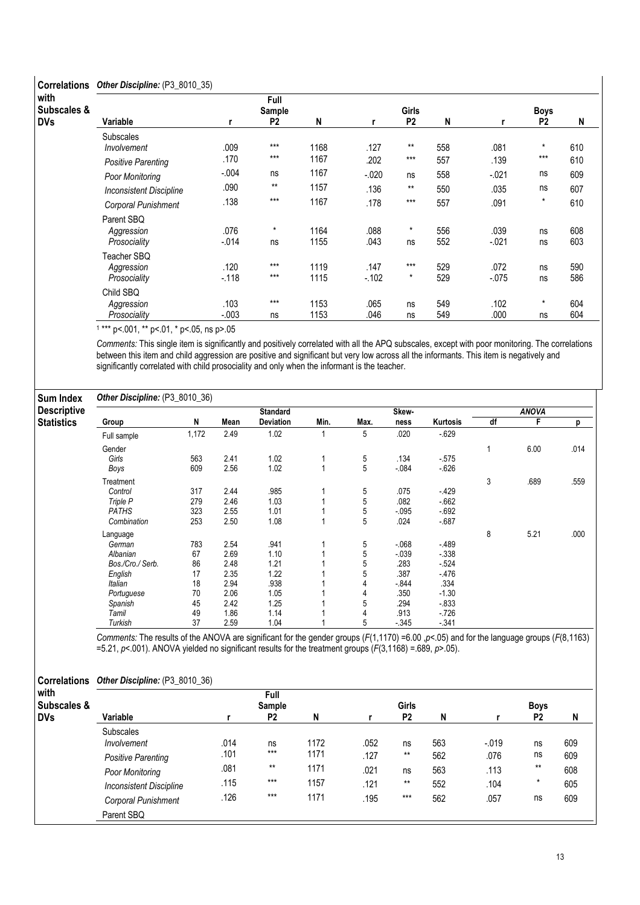#### Correlations Other Discipline: (P3\_8010\_35) with  $S<sub>0</sub>$  $\overline{\mathsf{D}}$  Full Sample

| ubscales & |                                           |                 | Sample         |              |                 | Girls          |            |                  | <b>Boys</b>    |            |
|------------|-------------------------------------------|-----------------|----------------|--------------|-----------------|----------------|------------|------------------|----------------|------------|
| ٧s         | Variable                                  | r               | P <sub>2</sub> | N            |                 | P <sub>2</sub> | N          | r                | P <sub>2</sub> | N          |
|            | <b>Subscales</b><br>Involvement           | .009            | $***$          | 1168         | .127            | $***$          | 558        | .081             | $\star$        | 610        |
|            | <b>Positive Parenting</b>                 | .170            | $***$          | 1167         | .202            | $***$          | 557        | .139             | $***$          | 610        |
|            | Poor Monitoring                           | $-.004$         | ns             | 1167         | $-.020$         | ns             | 558        | $-021$           | ns             | 609        |
|            | <b>Inconsistent Discipline</b>            | .090            | $***$          | 1157         | .136            | $***$          | 550        | .035             | ns             | 607        |
|            | Corporal Punishment                       | .138            | $***$          | 1167         | .178            | $***$          | 557        | .091             | $\star$        | 610        |
|            | Parent SBQ<br>Aggression<br>Prosociality  | .076<br>$-.014$ | $\star$<br>ns  | 1164<br>1155 | .088<br>.043    | $\star$<br>ns  | 556<br>552 | .039<br>$-.021$  | ns<br>ns       | 608<br>603 |
|            | Teacher SBQ<br>Aggression<br>Prosociality | .120<br>$-.118$ | $***$<br>$***$ | 1119<br>1115 | .147<br>$-.102$ | $***$<br>*     | 529<br>529 | .072<br>$-0.075$ | ns<br>ns       | 590<br>586 |
|            | Child SBQ<br>Aggression<br>Prosociality   | .103<br>$-.003$ | $***$<br>ns    | 1153<br>1153 | .065<br>.046    | ns<br>ns       | 549<br>549 | .102<br>.000     | $\star$<br>ns  | 604<br>604 |

1 \*\*\* p<.001, \*\* p<.01, \* p<.05, ns p>.05

Comments: This single item is significantly and positively correlated with all the APQ subscales, except with poor monitoring. The correlations between this item and child aggression are positive and significant but very low across all the informants. This item is negatively and significantly correlated with child prosociality and only when the informant is the teacher.

# Other Discipline: (P3\_8010\_36)

| <b>Descriptiv</b> |  |
|-------------------|--|
| <b>Statistics</b> |  |

| Sum Index          | Other Discipline: (P3_8010_36) |       |      |                  |      |                |         |          |    |              |      |
|--------------------|--------------------------------|-------|------|------------------|------|----------------|---------|----------|----|--------------|------|
| <b>Descriptive</b> |                                |       |      | <b>Standard</b>  |      |                | Skew-   |          |    | <b>ANOVA</b> |      |
| <b>Statistics</b>  | Group                          | N     | Mean | <b>Deviation</b> | Min. | Max.           | ness    | Kurtosis | df | F            | р    |
|                    | Full sample                    | 1,172 | 2.49 | 1.02             |      | 5              | .020    | $-629$   |    |              |      |
|                    | Gender                         |       |      |                  |      |                |         |          | 1  | 6.00         | .014 |
|                    | Girls                          | 563   | 2.41 | 1.02             |      | 5              | .134    | $-575$   |    |              |      |
|                    | Boys                           | 609   | 2.56 | 1.02             |      | 5              | $-084$  | $-626$   |    |              |      |
|                    | Treatment                      |       |      |                  |      |                |         |          | 3  | .689         | .559 |
|                    | Control                        | 317   | 2.44 | .985             |      | 5              | .075    | $-429$   |    |              |      |
|                    | Triple P                       | 279   | 2.46 | 1.03             |      | 5              | .082    | $-662$   |    |              |      |
|                    | <b>PATHS</b>                   | 323   | 2.55 | 1.01             |      | 5              | $-0.95$ | $-692$   |    |              |      |
|                    | Combination                    | 253   | 2.50 | 1.08             |      | $\overline{5}$ | .024    | $-687$   |    |              |      |
|                    | Language                       |       |      |                  |      |                |         |          | 8  | 5.21         | .000 |
|                    | German                         | 783   | 2.54 | .941             |      | 5              | $-068$  | $-489$   |    |              |      |
|                    | Albanian                       | 67    | 2.69 | 1.10             |      | 5              | $-039$  | $-0.338$ |    |              |      |
|                    | Bos./Cro./ Serb.               | 86    | 2.48 | 1.21             |      | 5              | .283    | $-524$   |    |              |      |
|                    | English                        | 17    | 2.35 | 1.22             |      | 5              | .387    | $-476$   |    |              |      |
|                    | <b>Italian</b>                 | 18    | 2.94 | .938             |      | 4              | $-844$  | .334     |    |              |      |
|                    | Portuguese                     | 70    | 2.06 | 1.05             |      | 4              | .350    | $-1.30$  |    |              |      |
|                    | Spanish                        | 45    | 2.42 | 1.25             |      | 5              | .294    | $-833$   |    |              |      |
|                    | Tamil                          | 49    | 1.86 | 1.14             |      | 4              | .913    | $-726$   |    |              |      |
|                    | Turkish                        | 37    | 2.59 | 1.04             |      | 5              | $-345$  | $-341$   |    |              |      |

Comments: The results of the ANOVA are significant for the gender groups (F(1,1170) =6.00 ,p<.05) and for the language groups (F(8,1163) =5.21,  $p$ <.001). ANOVA yielded no significant results for the treatment groups ( $F(3,1168)$  = .689,  $p$ >.05).

## Correlations Other Discipline: (P3\_8010\_36)

| with        |                                |      | <b>Full</b>    |      |      |                |     |          |                |     |
|-------------|--------------------------------|------|----------------|------|------|----------------|-----|----------|----------------|-----|
| Subscales & |                                |      | Sample         |      |      | Girls          |     |          | <b>Boys</b>    |     |
| <b>DVs</b>  | Variable                       |      | P <sub>2</sub> | N    |      | P <sub>2</sub> | N   |          | P <sub>2</sub> | N   |
|             | <b>Subscales</b>               |      |                |      |      |                |     |          |                |     |
|             | Involvement                    | .014 | ns             | 1172 | .052 | ns             | 563 | $-0.019$ | ns             | 609 |
|             | <b>Positive Parenting</b>      | .101 | $***$          | 1171 | .127 | $***$          | 562 | .076     | ns             | 609 |
|             | Poor Monitoring                | .081 | $***$          | 1171 | .021 | ns             | 563 | .113     | $***$          | 608 |
|             | <b>Inconsistent Discipline</b> | .115 | $***$          | 1157 | .121 | $**$           | 552 | .104     | $\star$        | 605 |
|             | Corporal Punishment            | .126 | $***$          | 1171 | .195 | $***$          | 562 | .057     | ns             | 609 |
|             | Parent SBQ                     |      |                |      |      |                |     |          |                |     |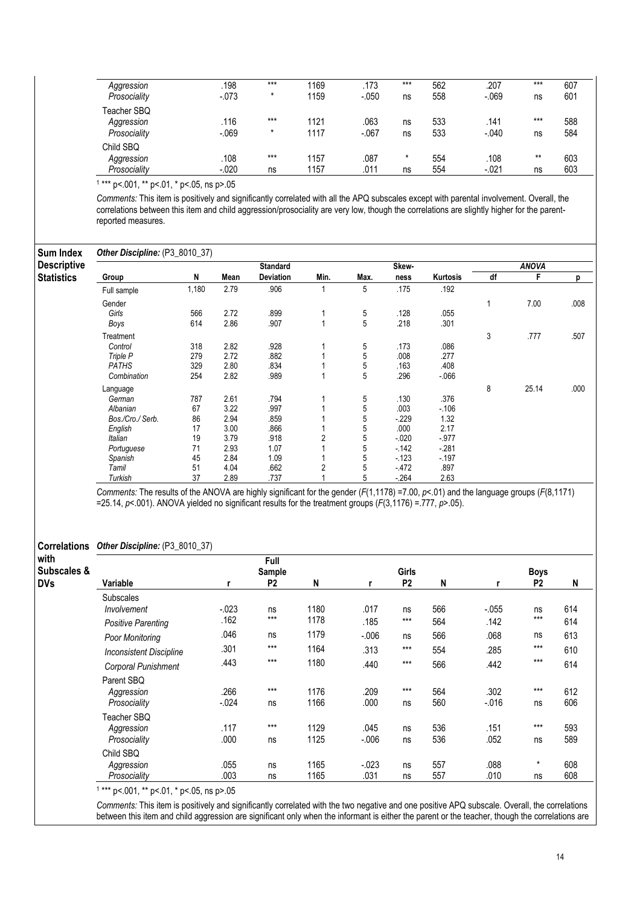| Aggression                                | .198            | $***$       | 1169         | .173            | $***$         | 562        | .207            | $***$       | 607        |
|-------------------------------------------|-----------------|-------------|--------------|-----------------|---------------|------------|-----------------|-------------|------------|
| Prosociality                              | $-073$          | *           | 1159         | $-.050$         | ns            | 558        | $-069$          | ns          | 601        |
| Teacher SBQ<br>Aggression<br>Prosociality | .116<br>$-069$  | $***$<br>*  | 1121<br>1117 | .063<br>$-.067$ | ns<br>ns      | 533<br>533 | .141<br>$-.040$ | $***$<br>ns | 588<br>584 |
| Child SBQ<br>Aggression<br>Prosociality   | .108<br>$-.020$ | $***$<br>ns | 1157<br>1157 | .087<br>.011    | $\star$<br>ns | 554<br>554 | .108<br>$-.021$ | $***$<br>ns | 603<br>603 |

1 \*\*\* p<.001, \*\* p<.01, \* p<.05, ns p>.05

Comments: This item is positively and significantly correlated with all the APQ subscales except with parental involvement. Overall, the correlations between this item and child aggression/prosociality are very low, though the correlations are slightly higher for the parentreported measures.

| Sum Index          | Other Discipline: (P3_8010_37) |       |      |                 |                |      |        |          |    |              |      |
|--------------------|--------------------------------|-------|------|-----------------|----------------|------|--------|----------|----|--------------|------|
| <b>Descriptive</b> |                                |       |      | <b>Standard</b> |                |      | Skew-  |          |    | <b>ANOVA</b> |      |
| <b>Statistics</b>  | Group                          | N     | Mean | Deviation       | Min.           | Max. | ness   | Kurtosis | df | F            | р    |
|                    | Full sample                    | 1,180 | 2.79 | .906            |                | 5    | .175   | .192     |    |              |      |
|                    | Gender                         |       |      |                 |                |      |        |          |    | 7.00         | .008 |
|                    | Girls                          | 566   | 2.72 | .899            |                | 5    | .128   | .055     |    |              |      |
|                    | Boys                           | 614   | 2.86 | .907            |                | 5    | .218   | .301     |    |              |      |
|                    | Treatment                      |       |      |                 |                |      |        |          | 3  | .777         | .507 |
|                    | Control                        | 318   | 2.82 | .928            |                | 5    | .173   | .086     |    |              |      |
|                    | Triple P                       | 279   | 2.72 | .882            |                | 5    | .008   | .277     |    |              |      |
|                    | <b>PATHS</b>                   | 329   | 2.80 | .834            |                | 5    | .163   | .408     |    |              |      |
|                    | Combination                    | 254   | 2.82 | .989            |                | 5    | .296   | $-066$   |    |              |      |
|                    | Language                       |       |      |                 |                |      |        |          | 8  | 25.14        | .000 |
|                    | German                         | 787   | 2.61 | .794            |                | 5    | .130   | .376     |    |              |      |
|                    | Albanian                       | 67    | 3.22 | .997            |                | 5    | .003   | $-106$   |    |              |      |
|                    | Bos./Cro./ Serb.               | 86    | 2.94 | .859            |                | 5    | $-229$ | 1.32     |    |              |      |
|                    | English                        | 17    | 3.00 | .866            |                | 5    | .000   | 2.17     |    |              |      |
|                    | <b>Italian</b>                 | 19    | 3.79 | .918            | 2              | 5    | $-020$ | $-.977$  |    |              |      |
|                    | Portuguese                     | 71    | 2.93 | 1.07            |                | 5    | $-142$ | $-281$   |    |              |      |
|                    | Spanish                        | 45    | 2.84 | 1.09            |                | 5    | $-123$ | $-197$   |    |              |      |
|                    | Tamil                          | 51    | 4.04 | .662            | $\overline{2}$ | 5    | $-472$ | .897     |    |              |      |
|                    | Turkish                        | 37    | 2.89 | .737            |                | 5    | $-264$ | 2.63     |    |              |      |

Comments: The results of the ANOVA are highly significant for the gender (F(1,1178) =7.00,  $p$ <.01) and the language groups (F(8,1171) =25.14,  $p$ <.001). ANOVA yielded no significant results for the treatment groups ( $F(3,1176)$  =.777,  $p$ >.05).

### Correlations Other Discipline: (P3\_8010\_37)

| with<br>Subscales & |                                           |                  | <b>Full</b><br>Sample |              |                  | <b>Girls</b>   |            |                  | <b>Boys</b>    |            |
|---------------------|-------------------------------------------|------------------|-----------------------|--------------|------------------|----------------|------------|------------------|----------------|------------|
| <b>DVs</b>          | Variable                                  | r                | P <sub>2</sub>        | N            | r                | P <sub>2</sub> | N          | r                | P <sub>2</sub> | N          |
|                     | Subscales<br>Involvement                  | $-0.023$         | ns                    | 1180         | .017             | ns             | 566        | $-0.55$          | ns             | 614        |
|                     | <b>Positive Parenting</b>                 | .162             | $***$                 | 1178         | .185             | $***$          | 564        | .142             | $***$          | 614        |
|                     | Poor Monitoring                           | .046             | ns                    | 1179         | $-0.006$         | ns             | 566        | .068             | ns             | 613        |
|                     | <b>Inconsistent Discipline</b>            | .301             | $***$                 | 1164         | .313             | $***$          | 554        | .285             | $***$          | 610        |
|                     | Corporal Punishment                       | .443             | $***$                 | 1180         | .440             | $***$          | 566        | .442             | $***$          | 614        |
|                     | Parent SBQ<br>Aggression<br>Prosociality  | .266<br>$-0.024$ | $***$<br>ns           | 1176<br>1166 | .209<br>.000     | $***$<br>ns    | 564<br>560 | .302<br>$-0.016$ | $***$<br>ns    | 612<br>606 |
|                     | Teacher SBQ<br>Aggression<br>Prosociality | .117<br>.000     | $***$<br>ns           | 1129<br>1125 | .045<br>$-0.006$ | ns<br>ns       | 536<br>536 | .151<br>.052     | $***$<br>ns    | 593<br>589 |
|                     | Child SBQ<br>Aggression<br>Prosociality   | .055<br>.003     | ns<br>ns              | 1165<br>1165 | $-.023$<br>.031  | ns<br>ns       | 557<br>557 | .088<br>.010     | $\star$<br>ns  | 608<br>608 |

1 p <.001, \*\* p <.01, \* p <.05, ns p >.05

Comments: This item is positively and significantly correlated with the two negative and one positive APQ subscale. Overall, the correlations between this item and child aggression are significant only when the informant is either the parent or the teacher, though the correlations are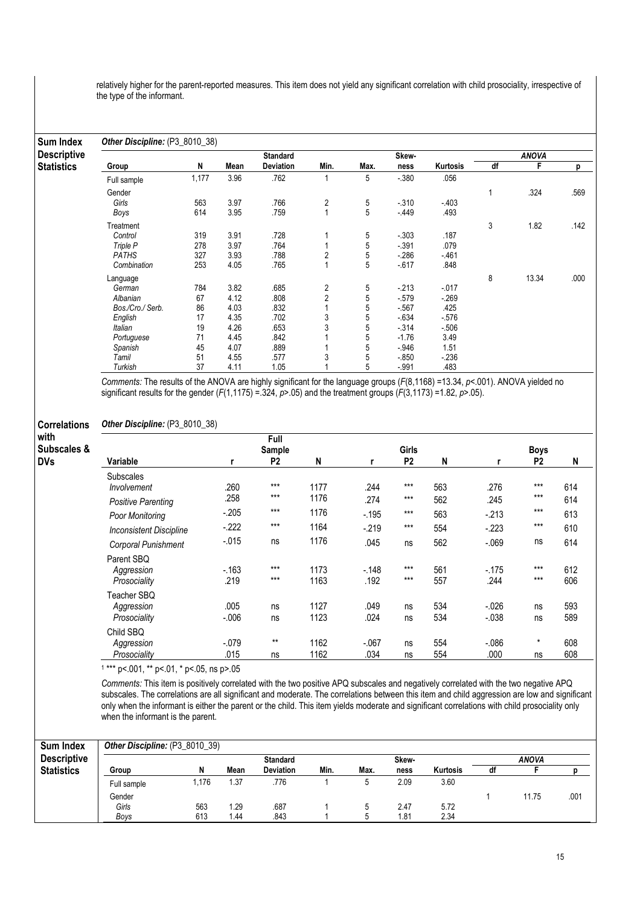relatively higher for the parent-reported measures. This item does not yield any significant correlation with child prosociality, irrespective of the type of the informant.

| Sum Index          | Other Discipline: (P3_8010_38) |       |      |                  |                |      |         |          |    |              |      |
|--------------------|--------------------------------|-------|------|------------------|----------------|------|---------|----------|----|--------------|------|
| <b>Descriptive</b> |                                |       |      | <b>Standard</b>  |                |      | Skew-   |          |    | <b>ANOVA</b> |      |
| <b>Statistics</b>  | Group                          | N     | Mean | <b>Deviation</b> | Min.           | Max. | ness    | Kurtosis | df | F            | p    |
|                    | Full sample                    | 1,177 | 3.96 | .762             |                | 5    | $-380$  | .056     |    |              |      |
|                    | Gender                         |       |      |                  |                |      |         |          |    | .324         | .569 |
|                    | Girls                          | 563   | 3.97 | .766             | 2              | 5    | $-310$  | $-403$   |    |              |      |
|                    | Boys                           | 614   | 3.95 | .759             | 1              | 5    | $-449$  | .493     |    |              |      |
|                    | Treatment                      |       |      |                  |                |      |         |          | 3  | 1.82         | .142 |
|                    | Control                        | 319   | 3.91 | .728             |                | 5    | $-303$  | .187     |    |              |      |
|                    | Triple P                       | 278   | 3.97 | .764             |                | 5    | $-391$  | .079     |    |              |      |
|                    | <b>PATHS</b>                   | 327   | 3.93 | .788             | $\overline{2}$ | 5    | $-286$  | $-461$   |    |              |      |
|                    | Combination                    | 253   | 4.05 | .765             |                | 5    | $-617$  | .848     |    |              |      |
|                    | Language                       |       |      |                  |                |      |         |          | 8  | 13.34        | .000 |
|                    | German                         | 784   | 3.82 | .685             | 2              | 5    | $-213$  | $-017$   |    |              |      |
|                    | Albanian                       | 67    | 4.12 | .808             | $\overline{2}$ | 5    | $-579$  | $-269$   |    |              |      |
|                    | Bos./Cro./ Serb.               | 86    | 4.03 | .832             |                | 5    | $-567$  | .425     |    |              |      |
|                    | English                        | 17    | 4.35 | .702             | 3              | 5    | $-634$  | $-576$   |    |              |      |
|                    | Italian                        | 19    | 4.26 | .653             | 3              | 5    | $-314$  | $-506$   |    |              |      |
|                    | Portuguese                     | 71    | 4.45 | .842             |                | 5    | $-1.76$ | 3.49     |    |              |      |
|                    | Spanish                        | 45    | 4.07 | .889             |                | 5    | $-946$  | 1.51     |    |              |      |
|                    | Tamil                          | 51    | 4.55 | .577             | 3              | 5    | $-850$  | $-236$   |    |              |      |
|                    | Turkish                        | 37    | 4.11 | 1.05             |                | 5    | $-.991$ | .483     |    |              |      |

Comments: The results of the ANOVA are highly significant for the language groups ( $F(8,1168)$  =13.34,  $p$ <.001). ANOVA yielded no significant results for the gender (F(1,1175) = 324,  $p$ >.05) and the treatment groups (F(3,1173) =1.82,  $p$ >.05).

#### Correlations Other Discipline: (P3\_8010\_38)

| with<br>Subscales & |                                 |          | Full<br>Sample |      |         | Girls          |     |          | <b>Boys</b>    |     |
|---------------------|---------------------------------|----------|----------------|------|---------|----------------|-----|----------|----------------|-----|
| <b>DVs</b>          | Variable                        |          | P <sub>2</sub> | N    |         | P <sub>2</sub> | N   |          | P <sub>2</sub> | N   |
|                     | <b>Subscales</b><br>Involvement | .260     | $***$          | 1177 | .244    | $***$          | 563 | .276     | $***$          | 614 |
|                     | <b>Positive Parenting</b>       | .258     | $***$          | 1176 | .274    | $***$          | 562 | .245     | $***$          | 614 |
|                     | Poor Monitoring                 | $-205$   | $***$          | 1176 | $-195$  | $***$          | 563 | $-213$   | $***$          | 613 |
|                     | <b>Inconsistent Discipline</b>  | $-222$   | $***$          | 1164 | $-219$  | $***$          | 554 | $-223$   | $***$          | 610 |
|                     | Corporal Punishment             | $-0.015$ | ns             | 1176 | .045    | ns             | 562 | $-069$   | ns             | 614 |
|                     | Parent SBQ                      |          |                |      |         |                |     |          |                |     |
|                     | Aggression                      | $-163$   | $***$          | 1173 | $-.148$ | $***$          | 561 | $-175$   | $***$          | 612 |
|                     | Prosociality                    | .219     | $***$          | 1163 | .192    | $***$          | 557 | .244     | $***$          | 606 |
|                     | Teacher SBQ                     |          |                |      |         |                |     |          |                |     |
|                     | Aggression                      | .005     | ns             | 1127 | .049    | ns             | 534 | $-0.026$ | ns             | 593 |
|                     | Prosociality                    | $-0.006$ | ns             | 1123 | .024    | ns             | 534 | $-0.038$ | ns             | 589 |
|                     | Child SBQ                       |          |                |      |         |                |     |          |                |     |
|                     | Aggression                      | $-0.079$ | $***$          | 1162 | $-.067$ | ns             | 554 | $-0.086$ | $\star$        | 608 |
|                     | Prosociality                    | .015     | ns             | 1162 | .034    | ns             | 554 | .000     | ns             | 608 |

1 \*\*\* p<.001, \*\* p<.01, \* p<.05, ns p>.05

Comments: This item is positively correlated with the two positive APQ subscales and negatively correlated with the two negative APQ subscales. The correlations are all significant and moderate. The correlations between this item and child aggression are low and significant only when the informant is either the parent or the child. This item yields moderate and significant correlations with child prosociality only when the informant is the parent.

| Sum Index          | <b>Other Discipline: (P3 8010 39)</b> |       |      |                  |      |      |       |                 |    |       |      |
|--------------------|---------------------------------------|-------|------|------------------|------|------|-------|-----------------|----|-------|------|
| <b>Descriptive</b> |                                       |       |      | <b>Standard</b>  |      |      | Skew- |                 |    | ANOVA |      |
| <b>Statistics</b>  | Group                                 | N     | Mean | <b>Deviation</b> | Min. | Max. | ness  | <b>Kurtosis</b> | dt |       |      |
|                    | Full sample                           | l.176 | 1.37 | .776             |      | G    | 2.09  | 3.60            |    |       |      |
|                    | Gender                                |       |      |                  |      |      |       |                 |    | 11.75 | .001 |
|                    | Girls                                 | 563   | 1.29 | .687             |      |      | 2.47  | 5.72            |    |       |      |
|                    | Bovs                                  | 613   | 1.44 | .843             |      |      | 1.81  | 2.34            |    |       |      |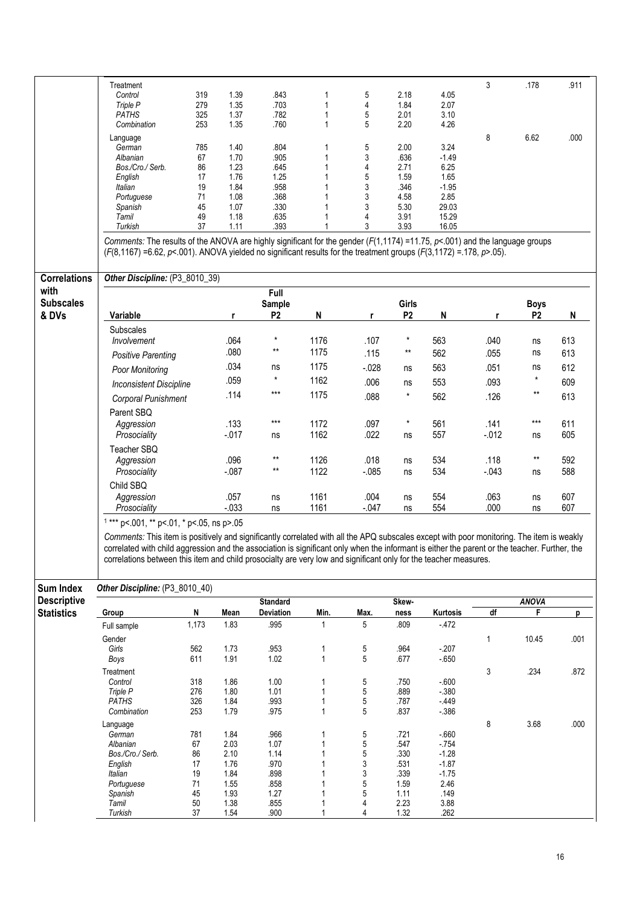|                             | Treatment                                                                                                                                                                                                                                                                                                                                                                                                      |       |          |                 |      |               |                |          | 3               | .178            | .911 |
|-----------------------------|----------------------------------------------------------------------------------------------------------------------------------------------------------------------------------------------------------------------------------------------------------------------------------------------------------------------------------------------------------------------------------------------------------------|-------|----------|-----------------|------|---------------|----------------|----------|-----------------|-----------------|------|
|                             | Control                                                                                                                                                                                                                                                                                                                                                                                                        | 319   | 1.39     | .843            |      | 5             | 2.18           | 4.05     |                 |                 |      |
|                             | Triple P                                                                                                                                                                                                                                                                                                                                                                                                       | 279   | 1.35     | .703            | 1    | 4             | 1.84           | 2.07     |                 |                 |      |
|                             | <b>PATHS</b>                                                                                                                                                                                                                                                                                                                                                                                                   | 325   | 1.37     | .782            | 1    | 5             | 2.01           | 3.10     |                 |                 |      |
|                             | Combination                                                                                                                                                                                                                                                                                                                                                                                                    | 253   | 1.35     | .760            | 1    | 5             | 2.20           | 4.26     |                 |                 |      |
|                             |                                                                                                                                                                                                                                                                                                                                                                                                                |       |          |                 |      |               |                |          |                 |                 |      |
|                             | Language                                                                                                                                                                                                                                                                                                                                                                                                       |       |          |                 |      |               |                |          | 8               | 6.62            | .000 |
|                             | German                                                                                                                                                                                                                                                                                                                                                                                                         | 785   | 1.40     | .804            |      | 5             | 2.00           | 3.24     |                 |                 |      |
|                             | Albanian                                                                                                                                                                                                                                                                                                                                                                                                       | 67    | 1.70     | .905            |      | 3             | .636           | $-1.49$  |                 |                 |      |
|                             | Bos./Cro./ Serb.                                                                                                                                                                                                                                                                                                                                                                                               | 86    | 1.23     | .645            | 1    | 4             | 2.71           | 6.25     |                 |                 |      |
|                             | English                                                                                                                                                                                                                                                                                                                                                                                                        | 17    | 1.76     | 1.25            |      | 5             | 1.59           | 1.65     |                 |                 |      |
|                             | Italian                                                                                                                                                                                                                                                                                                                                                                                                        | 19    | 1.84     | .958            |      | 3             | .346           | $-1.95$  |                 |                 |      |
|                             | Portuguese                                                                                                                                                                                                                                                                                                                                                                                                     | 71    | 1.08     | .368            |      | 3             | 4.58           | 2.85     |                 |                 |      |
|                             | Spanish                                                                                                                                                                                                                                                                                                                                                                                                        | 45    | 1.07     | .330            |      | 3             | 5.30           | 29.03    |                 |                 |      |
|                             | Tamil                                                                                                                                                                                                                                                                                                                                                                                                          | 49    | 1.18     | .635            |      | 4             | 3.91           | 15.29    |                 |                 |      |
|                             | Turkish                                                                                                                                                                                                                                                                                                                                                                                                        | 37    | 1.11     | .393            |      | 3             | 3.93           | 16.05    |                 |                 |      |
|                             |                                                                                                                                                                                                                                                                                                                                                                                                                |       |          |                 |      |               |                |          |                 |                 |      |
|                             | Comments: The results of the ANOVA are highly significant for the gender ( $F(1,1174)$ =11.75, $p$ <.001) and the language groups<br>(F(8,1167) = 6.62, p<.001). ANOVA yielded no significant results for the treatment groups (F(3,1172) = 178, p>.05).                                                                                                                                                       |       |          |                 |      |               |                |          |                 |                 |      |
| <b>Correlations</b><br>with | Other Discipline: (P3_8010_39)                                                                                                                                                                                                                                                                                                                                                                                 |       |          | Full            |      |               |                |          |                 |                 |      |
| <b>Subscales</b>            |                                                                                                                                                                                                                                                                                                                                                                                                                |       |          | <b>Sample</b>   |      |               | Girls          |          |                 | <b>Boys</b>     |      |
|                             |                                                                                                                                                                                                                                                                                                                                                                                                                |       |          |                 |      |               |                |          |                 |                 |      |
| & DVs                       | Variable                                                                                                                                                                                                                                                                                                                                                                                                       |       | r        | P <sub>2</sub>  | N    | r             | P <sub>2</sub> | N        | r               | P <sub>2</sub>  | N    |
|                             | Subscales                                                                                                                                                                                                                                                                                                                                                                                                      |       |          |                 |      |               |                |          |                 |                 |      |
|                             | Involvement                                                                                                                                                                                                                                                                                                                                                                                                    |       | .064     | $^\star$        | 1176 | .107          | $\ast$         | 563      | .040            | ns              | 613  |
|                             |                                                                                                                                                                                                                                                                                                                                                                                                                |       |          | $***$           |      |               | $***$          |          |                 |                 |      |
|                             | <b>Positive Parenting</b>                                                                                                                                                                                                                                                                                                                                                                                      |       | .080     |                 | 1175 | .115          |                | 562      | .055            | ns              | 613  |
|                             | Poor Monitoring                                                                                                                                                                                                                                                                                                                                                                                                |       | .034     | ns              | 1175 | $-028$        | ns             | 563      | .051            | ns              | 612  |
|                             |                                                                                                                                                                                                                                                                                                                                                                                                                |       |          | $^\star$        | 1162 |               |                |          |                 | $^\star$        |      |
|                             | <b>Inconsistent Discipline</b>                                                                                                                                                                                                                                                                                                                                                                                 |       | .059     |                 |      | .006          | ns             | 553      | .093            |                 | 609  |
|                             | Corporal Punishment                                                                                                                                                                                                                                                                                                                                                                                            |       | .114     | $***$           | 1175 | .088          | $\star$        | 562      | .126            | $^{\star\star}$ | 613  |
|                             |                                                                                                                                                                                                                                                                                                                                                                                                                |       |          |                 |      |               |                |          |                 |                 |      |
|                             | Parent SBQ                                                                                                                                                                                                                                                                                                                                                                                                     |       |          |                 |      |               |                |          |                 |                 |      |
|                             | Aggression                                                                                                                                                                                                                                                                                                                                                                                                     |       | .133     | $***$           | 1172 | .097          | $^\star$       | 561      | .141            | $***$           | 611  |
|                             | Prosociality                                                                                                                                                                                                                                                                                                                                                                                                   |       | $-0.017$ | ns              | 1162 | .022          | ns             | 557      | $-012$          | ns              | 605  |
|                             |                                                                                                                                                                                                                                                                                                                                                                                                                |       |          |                 |      |               |                |          |                 |                 |      |
|                             | Teacher SBQ                                                                                                                                                                                                                                                                                                                                                                                                    |       |          |                 |      |               |                |          |                 |                 |      |
|                             | Aggression                                                                                                                                                                                                                                                                                                                                                                                                     |       | .096     | $^{\star\star}$ | 1126 | .018          | ns             | 534      | .118            | $^{\star\star}$ | 592  |
|                             | Prosociality                                                                                                                                                                                                                                                                                                                                                                                                   |       | $-.087$  | $***$           | 1122 | $-085$        | ns             | 534      | $-043$          | ns              | 588  |
|                             |                                                                                                                                                                                                                                                                                                                                                                                                                |       |          |                 |      |               |                |          |                 |                 |      |
|                             | Child SBQ                                                                                                                                                                                                                                                                                                                                                                                                      |       |          |                 |      |               |                |          |                 |                 |      |
|                             | Aggression                                                                                                                                                                                                                                                                                                                                                                                                     |       | .057     | ns              | 1161 | .004          | ns             | 554      | .063            | ns              | 607  |
|                             | Prosociality                                                                                                                                                                                                                                                                                                                                                                                                   |       | $-.033$  | ns              | 1161 | $-047$        | ns             | 554      | .000            | ns              | 607  |
|                             | $1***$ p<.001, ** p<.01, * p<.05, ns p>.05                                                                                                                                                                                                                                                                                                                                                                     |       |          |                 |      |               |                |          |                 |                 |      |
|                             | Comments: This item is positively and significantly correlated with all the APQ subscales except with poor monitoring. The item is weakly<br>correlated with child aggression and the association is significant only when the informant is either the parent or the teacher. Further, the<br>correlations between this item and child prosocialty are very low and significant only for the teacher measures. |       |          |                 |      |               |                |          |                 |                 |      |
| <b>Sum Index</b>            | Other Discipline: (P3 8010 40)                                                                                                                                                                                                                                                                                                                                                                                 |       |          |                 |      |               |                |          |                 |                 |      |
| <b>Descriptive</b>          |                                                                                                                                                                                                                                                                                                                                                                                                                |       |          | <b>Standard</b> |      |               | Skew-          |          |                 | <b>ANOVA</b>    |      |
| <b>Statistics</b>           | Group                                                                                                                                                                                                                                                                                                                                                                                                          | N     | Mean     | Deviation       | Min. | Max.          | ness           | Kurtosis | $\overline{df}$ | F               | p    |
|                             | Full sample                                                                                                                                                                                                                                                                                                                                                                                                    | 1,173 | 1.83     | .995            | 1    | 5             | .809           | $-472$   |                 |                 |      |
|                             | Gender                                                                                                                                                                                                                                                                                                                                                                                                         |       |          |                 |      |               |                |          |                 |                 |      |
|                             |                                                                                                                                                                                                                                                                                                                                                                                                                |       |          |                 |      |               |                |          | 1               | 10.45           | .001 |
|                             | Girls                                                                                                                                                                                                                                                                                                                                                                                                          | 562   | 1.73     | .953            | 1    | 5             | .964           | $-207$   |                 |                 |      |
|                             | Boys                                                                                                                                                                                                                                                                                                                                                                                                           | 611   | 1.91     | 1.02            | 1    | 5             | .677           | $-650$   |                 |                 |      |
|                             | Treatment                                                                                                                                                                                                                                                                                                                                                                                                      |       |          |                 |      |               |                |          | 3               | .234            | .872 |
|                             | Control                                                                                                                                                                                                                                                                                                                                                                                                        | 318   | 1.86     | 1.00            | 1    |               | .750           | $-600$   |                 |                 |      |
|                             | Triple P                                                                                                                                                                                                                                                                                                                                                                                                       | 276   | 1.80     | 1.01            | 1    | $\frac{5}{5}$ | .889           | $-0.380$ |                 |                 |      |
|                             | <b>PATHS</b>                                                                                                                                                                                                                                                                                                                                                                                                   | 326   | 1.84     | .993            | 1    | 5             | .787           | $-449$   |                 |                 |      |
|                             | Combination                                                                                                                                                                                                                                                                                                                                                                                                    | 253   | 1.79     | .975            | 1    | 5             | .837           |          |                 |                 |      |
|                             |                                                                                                                                                                                                                                                                                                                                                                                                                |       |          |                 |      |               |                | $-0.386$ |                 |                 |      |
|                             | Language                                                                                                                                                                                                                                                                                                                                                                                                       |       |          |                 |      |               |                |          | 8               | 3.68            | .000 |
|                             | German                                                                                                                                                                                                                                                                                                                                                                                                         | 781   | 1.84     | .966            | 1    | 5             | .721           | $-660$   |                 |                 |      |
|                             | Albanian                                                                                                                                                                                                                                                                                                                                                                                                       | 67    | 2.03     | 1.07            |      | 5             | .547           | $-754$   |                 |                 |      |
|                             | Bos./Cro./ Serb.                                                                                                                                                                                                                                                                                                                                                                                               | 86    | 2.10     | 1.14            | 1    | 5             | .330           | $-1.28$  |                 |                 |      |
|                             | English                                                                                                                                                                                                                                                                                                                                                                                                        | 17    | 1.76     | .970            |      | 3             | .531           | $-1.87$  |                 |                 |      |
|                             | Italian                                                                                                                                                                                                                                                                                                                                                                                                        | 19    | 1.84     | .898            | 1    | 3             | .339           | $-1.75$  |                 |                 |      |
|                             | Portuguese                                                                                                                                                                                                                                                                                                                                                                                                     | 71    | 1.55     | .858            |      | 5             | 1.59           | 2.46     |                 |                 |      |
|                             | Spanish                                                                                                                                                                                                                                                                                                                                                                                                        | 45    | 1.93     | 1.27            | 1    | 5             | 1.11           | .149     |                 |                 |      |
|                             | Tamil                                                                                                                                                                                                                                                                                                                                                                                                          | 50    | 1.38     | .855            | 1    | 4             | 2.23           | 3.88     |                 |                 |      |
|                             | Turkish                                                                                                                                                                                                                                                                                                                                                                                                        | 37    | 1.54     | .900            | 1    | 4             | 1.32           | .262     |                 |                 |      |
|                             |                                                                                                                                                                                                                                                                                                                                                                                                                |       |          |                 |      |               |                |          |                 |                 |      |